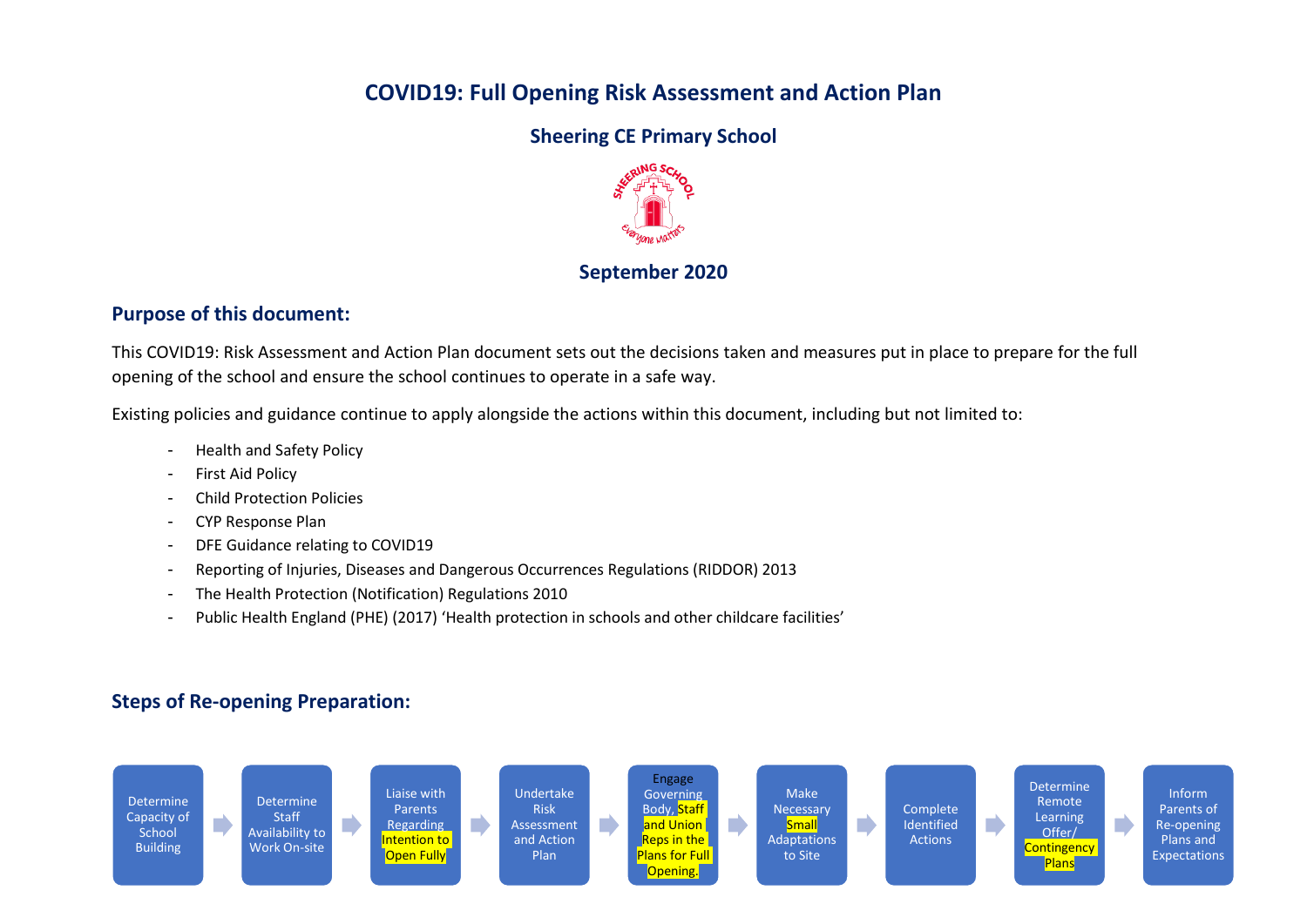## **COVID19: Full Opening Risk Assessment and Action Plan**

#### **Sheering CE Primary School**



#### **September 2020**

#### **Purpose of this document:**

This COVID19: Risk Assessment and Action Plan document sets out the decisions taken and measures put in place to prepare for the full opening of the school and ensure the school continues to operate in a safe way.

Existing policies and guidance continue to apply alongside the actions within this document, including but not limited to:

- Health and Safety Policy
- First Aid Policy
- Child Protection Policies
- CYP Response Plan
- DFE Guidance relating to COVID19
- Reporting of Injuries, Diseases and Dangerous Occurrences Regulations (RIDDOR) 2013
- The Health Protection (Notification) Regulations 2010
- Public Health England (PHE) (2017) 'Health protection in schools and other childcare facilities'

### **Steps of Re-opening Preparation:**

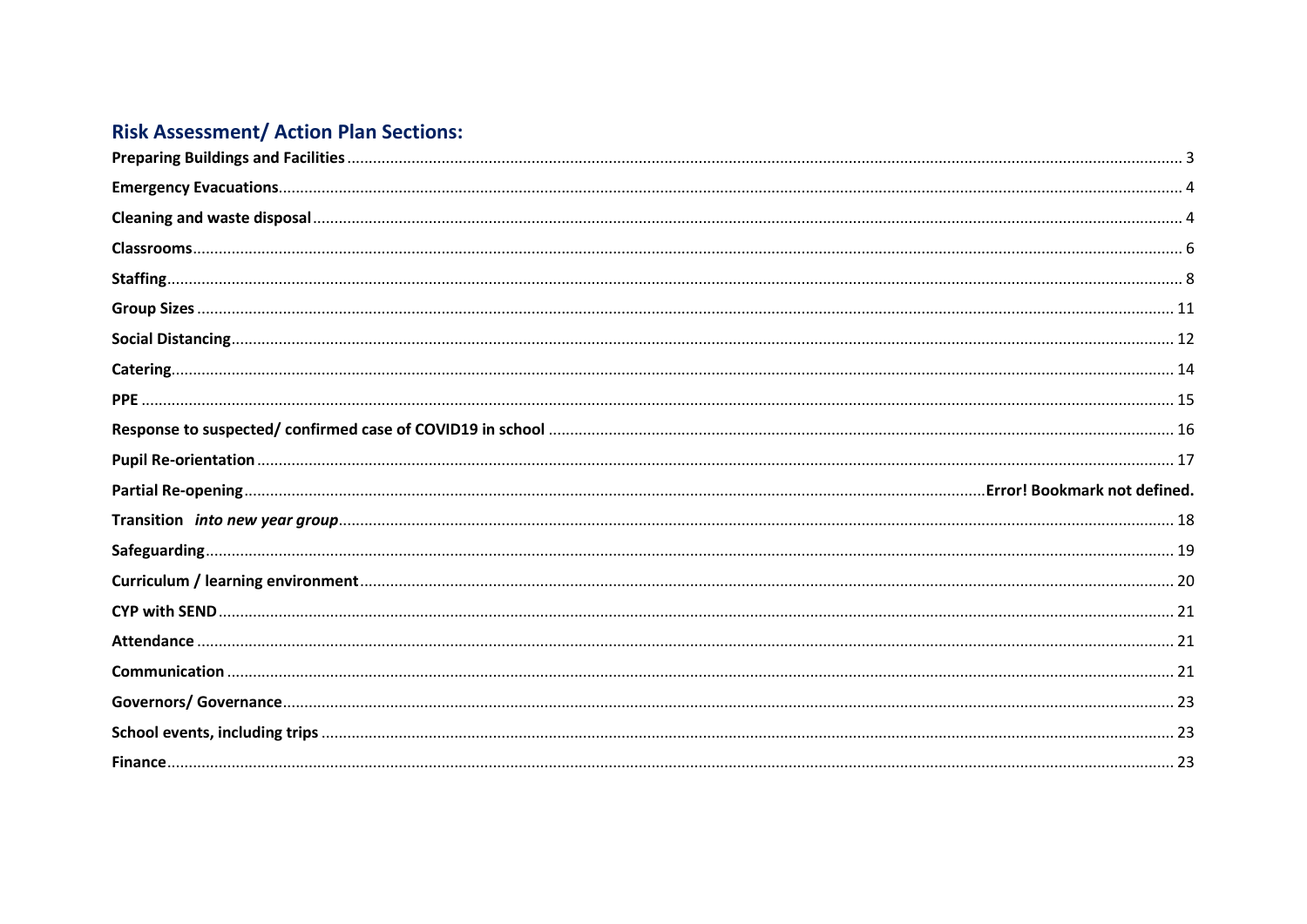# **Risk Assessment/ Action Plan Sections:**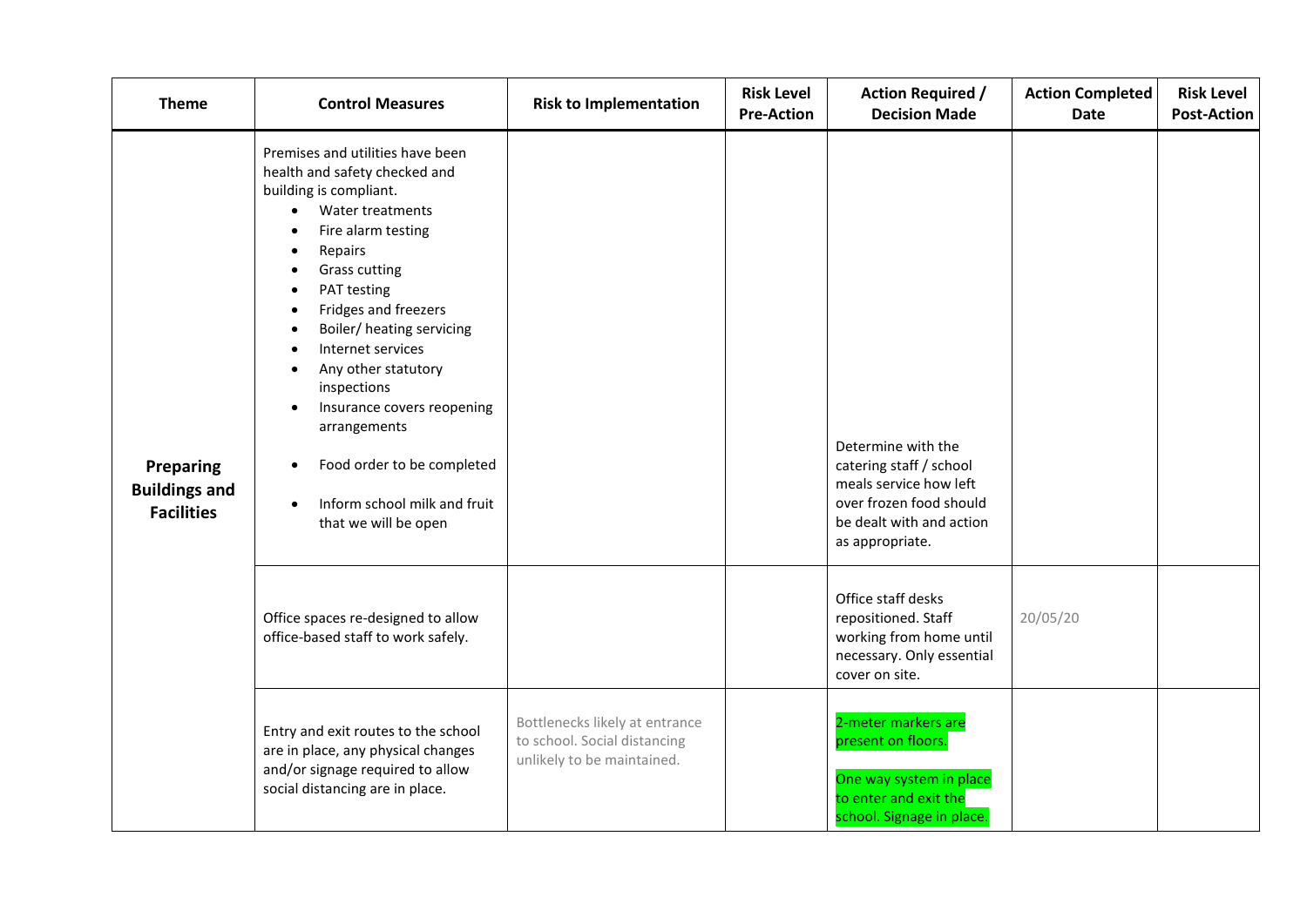<span id="page-2-0"></span>

| <b>Theme</b>                                           | <b>Control Measures</b>                                                                                                                                                                                                                                                                                                                                                                                                                                                                                                                             | <b>Risk to Implementation</b>                                                                | <b>Risk Level</b><br><b>Pre-Action</b> | <b>Action Required /</b><br><b>Decision Made</b>                                                                                                  | <b>Action Completed</b><br>Date | <b>Risk Level</b><br><b>Post-Action</b> |
|--------------------------------------------------------|-----------------------------------------------------------------------------------------------------------------------------------------------------------------------------------------------------------------------------------------------------------------------------------------------------------------------------------------------------------------------------------------------------------------------------------------------------------------------------------------------------------------------------------------------------|----------------------------------------------------------------------------------------------|----------------------------------------|---------------------------------------------------------------------------------------------------------------------------------------------------|---------------------------------|-----------------------------------------|
| Preparing<br><b>Buildings and</b><br><b>Facilities</b> | Premises and utilities have been<br>health and safety checked and<br>building is compliant.<br>Water treatments<br>$\bullet$<br>Fire alarm testing<br>$\bullet$<br>Repairs<br>$\bullet$<br><b>Grass cutting</b><br>PAT testing<br>Fridges and freezers<br>$\bullet$<br>Boiler/ heating servicing<br>$\bullet$<br>Internet services<br>Any other statutory<br>inspections<br>Insurance covers reopening<br>$\bullet$<br>arrangements<br>Food order to be completed<br>$\bullet$<br>Inform school milk and fruit<br>$\bullet$<br>that we will be open |                                                                                              |                                        | Determine with the<br>catering staff / school<br>meals service how left<br>over frozen food should<br>be dealt with and action<br>as appropriate. |                                 |                                         |
|                                                        | Office spaces re-designed to allow<br>office-based staff to work safely.                                                                                                                                                                                                                                                                                                                                                                                                                                                                            |                                                                                              |                                        | Office staff desks<br>repositioned. Staff<br>working from home until<br>necessary. Only essential<br>cover on site.                               | 20/05/20                        |                                         |
|                                                        | Entry and exit routes to the school<br>are in place, any physical changes<br>and/or signage required to allow<br>social distancing are in place.                                                                                                                                                                                                                                                                                                                                                                                                    | Bottlenecks likely at entrance<br>to school. Social distancing<br>unlikely to be maintained. |                                        | 2-meter markers are<br>present on floors.<br>One way system in place<br>to enter and exit the<br>school. Signage in place.                        |                                 |                                         |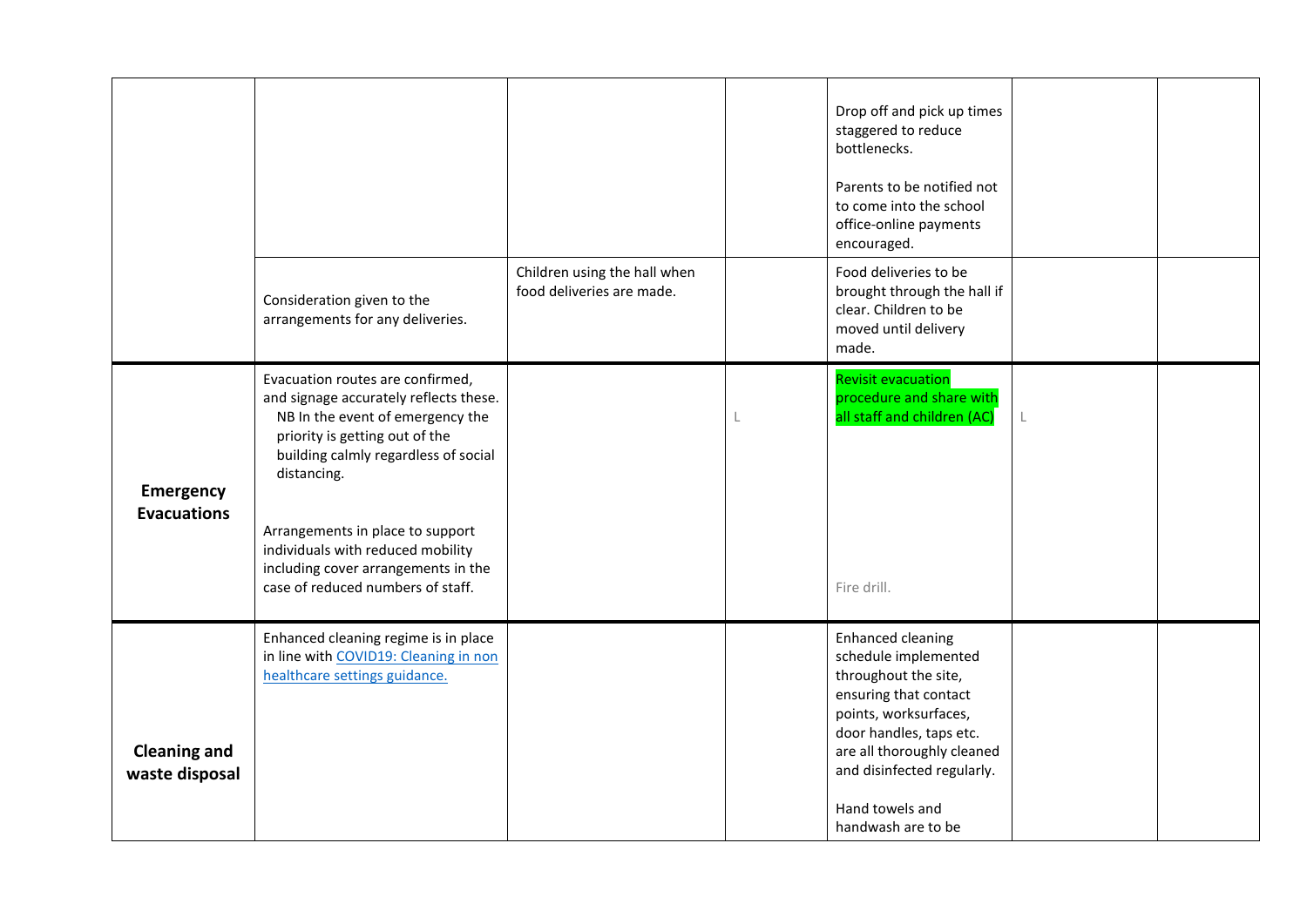<span id="page-3-1"></span><span id="page-3-0"></span>

|                                        |                                                                                                                                                                                                                                                                                                                                                              |                                                           | Drop off and pick up times<br>staggered to reduce<br>bottlenecks.<br>Parents to be notified not<br>to come into the school<br>office-online payments<br>encouraged.                                                                                        |  |
|----------------------------------------|--------------------------------------------------------------------------------------------------------------------------------------------------------------------------------------------------------------------------------------------------------------------------------------------------------------------------------------------------------------|-----------------------------------------------------------|------------------------------------------------------------------------------------------------------------------------------------------------------------------------------------------------------------------------------------------------------------|--|
|                                        | Consideration given to the<br>arrangements for any deliveries.                                                                                                                                                                                                                                                                                               | Children using the hall when<br>food deliveries are made. | Food deliveries to be<br>brought through the hall if<br>clear. Children to be<br>moved until delivery<br>made.                                                                                                                                             |  |
| <b>Emergency</b><br><b>Evacuations</b> | Evacuation routes are confirmed,<br>and signage accurately reflects these.<br>NB In the event of emergency the<br>priority is getting out of the<br>building calmly regardless of social<br>distancing.<br>Arrangements in place to support<br>individuals with reduced mobility<br>including cover arrangements in the<br>case of reduced numbers of staff. |                                                           | <b>Revisit evacuation</b><br>procedure and share with<br>all staff and children (AC)<br>Fire drill.                                                                                                                                                        |  |
| <b>Cleaning and</b><br>waste disposal  | Enhanced cleaning regime is in place<br>in line with COVID19: Cleaning in non<br>healthcare settings guidance.                                                                                                                                                                                                                                               |                                                           | <b>Enhanced cleaning</b><br>schedule implemented<br>throughout the site,<br>ensuring that contact<br>points, worksurfaces,<br>door handles, taps etc.<br>are all thoroughly cleaned<br>and disinfected regularly.<br>Hand towels and<br>handwash are to be |  |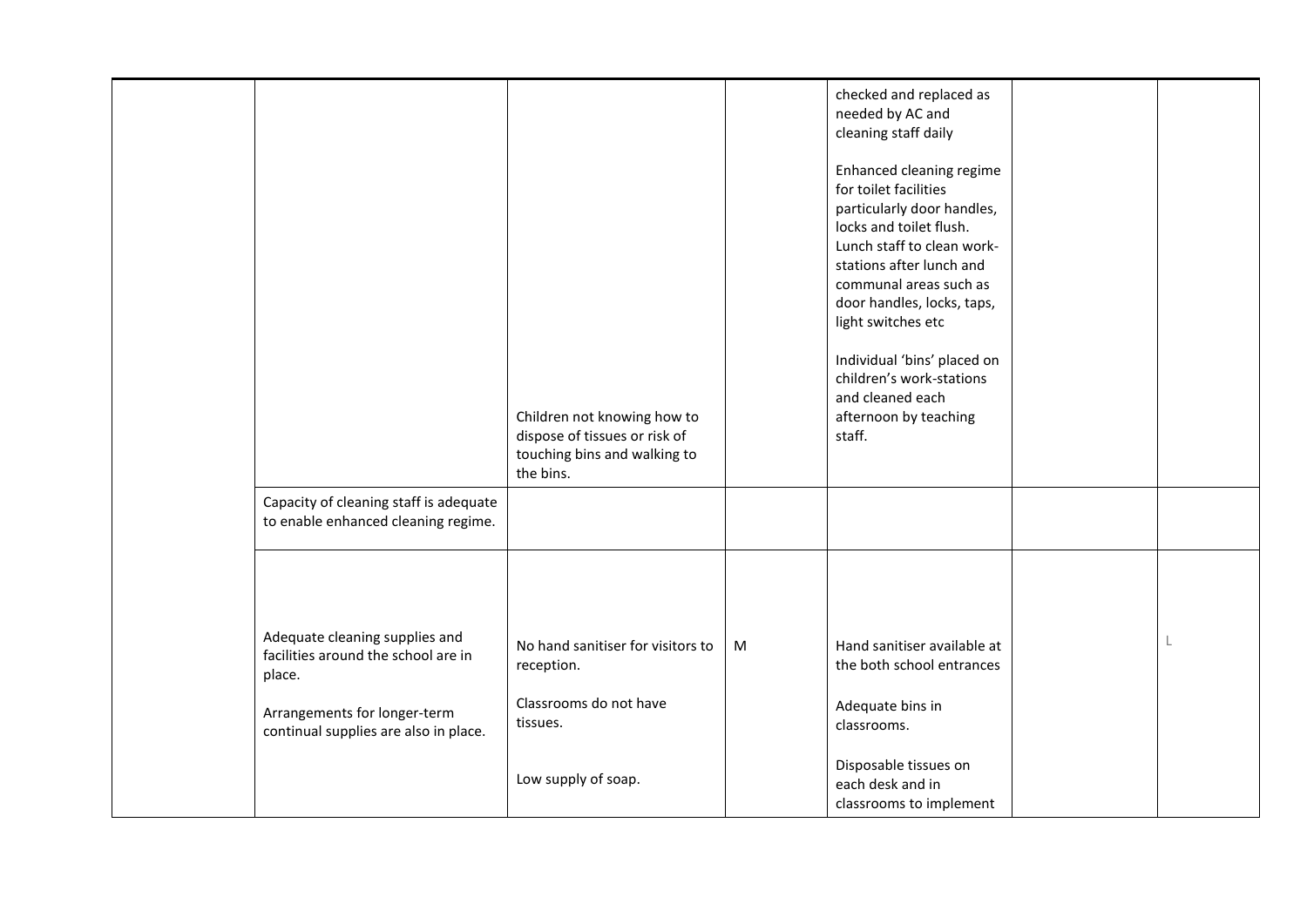|                                                                                                                                                          | Children not knowing how to<br>dispose of tissues or risk of<br>touching bins and walking to<br>the bins. |   | checked and replaced as<br>needed by AC and<br>cleaning staff daily<br>Enhanced cleaning regime<br>for toilet facilities<br>particularly door handles,<br>locks and toilet flush.<br>Lunch staff to clean work-<br>stations after lunch and<br>communal areas such as<br>door handles, locks, taps,<br>light switches etc<br>Individual 'bins' placed on<br>children's work-stations<br>and cleaned each<br>afternoon by teaching<br>staff. |  |
|----------------------------------------------------------------------------------------------------------------------------------------------------------|-----------------------------------------------------------------------------------------------------------|---|---------------------------------------------------------------------------------------------------------------------------------------------------------------------------------------------------------------------------------------------------------------------------------------------------------------------------------------------------------------------------------------------------------------------------------------------|--|
| Capacity of cleaning staff is adequate<br>to enable enhanced cleaning regime.                                                                            |                                                                                                           |   |                                                                                                                                                                                                                                                                                                                                                                                                                                             |  |
| Adequate cleaning supplies and<br>facilities around the school are in<br>place.<br>Arrangements for longer-term<br>continual supplies are also in place. | No hand sanitiser for visitors to<br>reception.<br>Classrooms do not have<br>tissues.                     | M | Hand sanitiser available at<br>the both school entrances<br>Adequate bins in<br>classrooms.<br>Disposable tissues on                                                                                                                                                                                                                                                                                                                        |  |
|                                                                                                                                                          | Low supply of soap.                                                                                       |   | each desk and in<br>classrooms to implement                                                                                                                                                                                                                                                                                                                                                                                                 |  |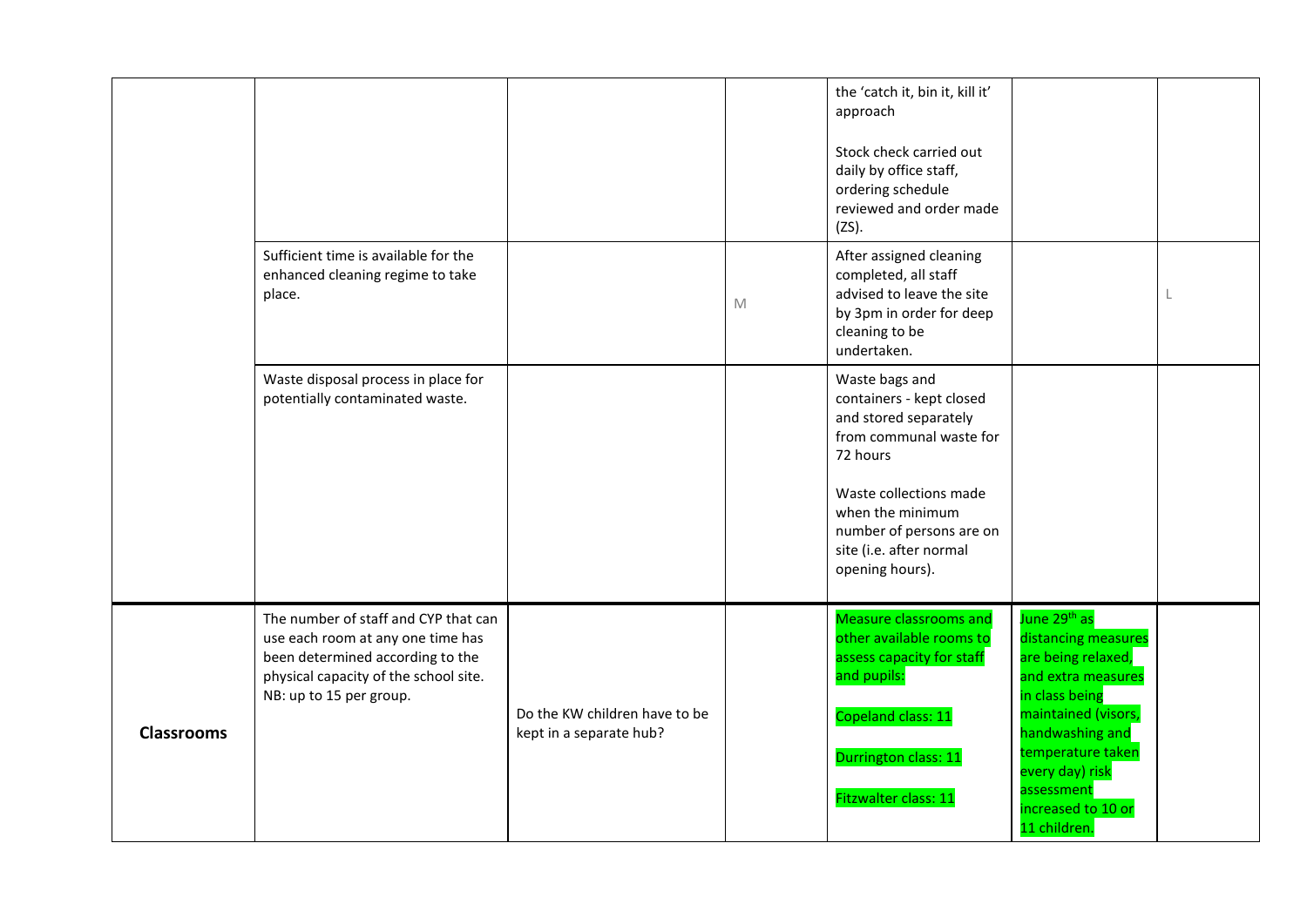<span id="page-5-0"></span>

|                   |                                                                                                                                                                                   |                                                          |   | the 'catch it, bin it, kill it'<br>approach<br>Stock check carried out<br>daily by office staff,<br>ordering schedule<br>reviewed and order made<br>$(ZS)$ .                                                                       |                                                                                                                                                                                                                                                     |  |
|-------------------|-----------------------------------------------------------------------------------------------------------------------------------------------------------------------------------|----------------------------------------------------------|---|------------------------------------------------------------------------------------------------------------------------------------------------------------------------------------------------------------------------------------|-----------------------------------------------------------------------------------------------------------------------------------------------------------------------------------------------------------------------------------------------------|--|
|                   | Sufficient time is available for the<br>enhanced cleaning regime to take<br>place.                                                                                                |                                                          | M | After assigned cleaning<br>completed, all staff<br>advised to leave the site<br>by 3pm in order for deep<br>cleaning to be<br>undertaken.                                                                                          |                                                                                                                                                                                                                                                     |  |
|                   | Waste disposal process in place for<br>potentially contaminated waste.                                                                                                            |                                                          |   | Waste bags and<br>containers - kept closed<br>and stored separately<br>from communal waste for<br>72 hours<br>Waste collections made<br>when the minimum<br>number of persons are on<br>site (i.e. after normal<br>opening hours). |                                                                                                                                                                                                                                                     |  |
| <b>Classrooms</b> | The number of staff and CYP that can<br>use each room at any one time has<br>been determined according to the<br>physical capacity of the school site.<br>NB: up to 15 per group. | Do the KW children have to be<br>kept in a separate hub? |   | <b>Measure classrooms and</b><br>other available rooms to<br>assess capacity for staff<br>and pupils:<br>Copeland class: 11<br>Durrington class: 11<br>Fitzwalter class: 11                                                        | June 29 <sup>th</sup> as<br>distancing measures<br>are being relaxed,<br>and extra measures<br>in class being<br>maintained (visors,<br>handwashing and<br>temperature taken<br>every day) risk<br>assessment<br>increased to 10 or<br>11 children. |  |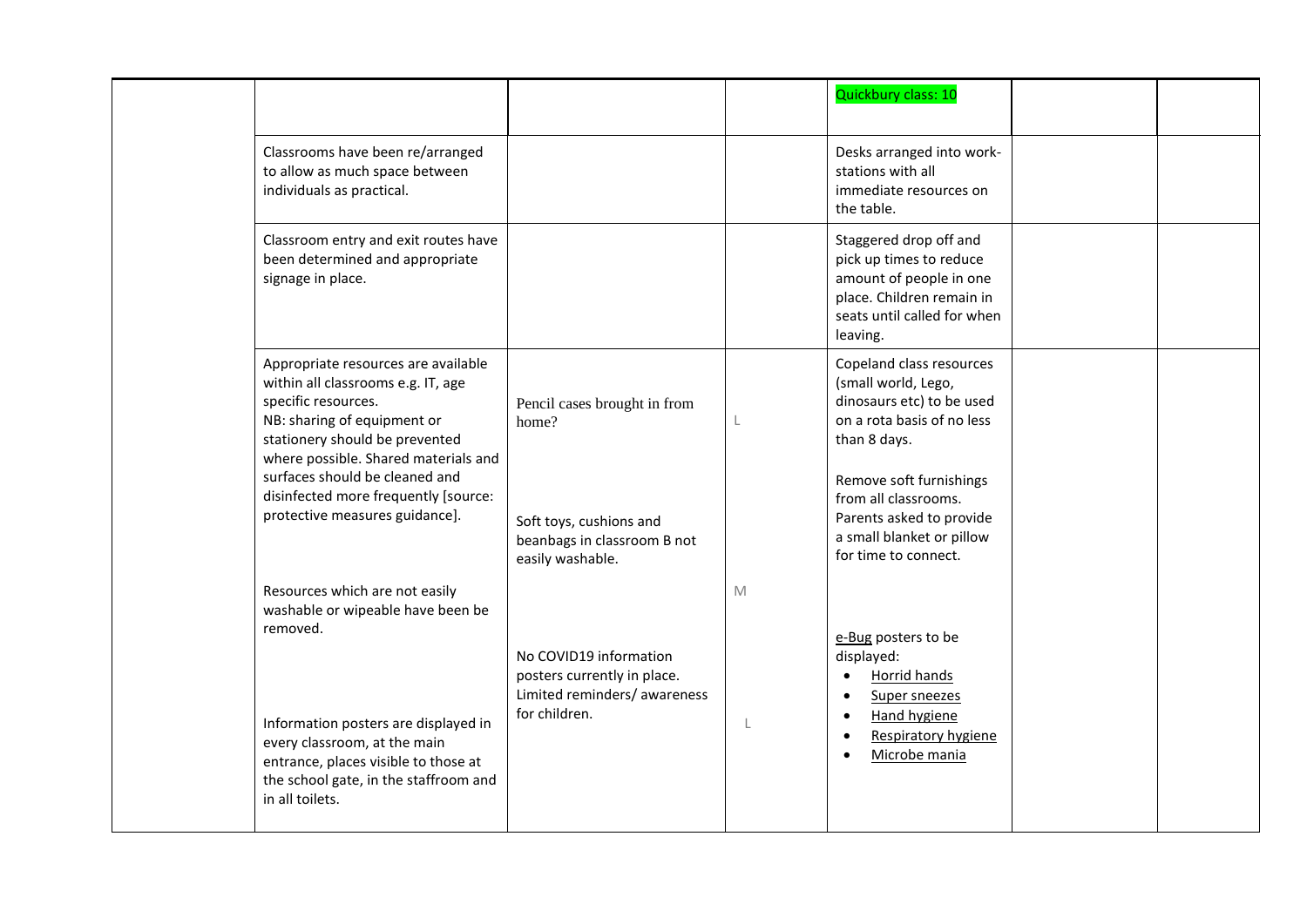|                                                                                                                                                                                                                                                                                                                       |                                                                                                                     |                   | Quickbury class: 10                                                                                                                                                                                                                                            |  |
|-----------------------------------------------------------------------------------------------------------------------------------------------------------------------------------------------------------------------------------------------------------------------------------------------------------------------|---------------------------------------------------------------------------------------------------------------------|-------------------|----------------------------------------------------------------------------------------------------------------------------------------------------------------------------------------------------------------------------------------------------------------|--|
| Classrooms have been re/arranged<br>to allow as much space between<br>individuals as practical.                                                                                                                                                                                                                       |                                                                                                                     |                   | Desks arranged into work-<br>stations with all<br>immediate resources on<br>the table.                                                                                                                                                                         |  |
| Classroom entry and exit routes have<br>been determined and appropriate<br>signage in place.                                                                                                                                                                                                                          |                                                                                                                     |                   | Staggered drop off and<br>pick up times to reduce<br>amount of people in one<br>place. Children remain in<br>seats until called for when<br>leaving.                                                                                                           |  |
| Appropriate resources are available<br>within all classrooms e.g. IT, age<br>specific resources.<br>NB: sharing of equipment or<br>stationery should be prevented<br>where possible. Shared materials and<br>surfaces should be cleaned and<br>disinfected more frequently [source:<br>protective measures guidance]. | Pencil cases brought in from<br>home?<br>Soft toys, cushions and<br>beanbags in classroom B not<br>easily washable. |                   | Copeland class resources<br>(small world, Lego,<br>dinosaurs etc) to be used<br>on a rota basis of no less<br>than 8 days.<br>Remove soft furnishings<br>from all classrooms.<br>Parents asked to provide<br>a small blanket or pillow<br>for time to connect. |  |
| Resources which are not easily<br>washable or wipeable have been be<br>removed.<br>Information posters are displayed in<br>every classroom, at the main<br>entrance, places visible to those at<br>the school gate, in the staffroom and<br>in all toilets.                                                           | No COVID19 information<br>posters currently in place.<br>Limited reminders/ awareness<br>for children.              | M<br>$\mathbf{I}$ | e-Bug posters to be<br>displayed:<br>Horrid hands<br>$\bullet$<br>Super sneezes<br>$\bullet$<br><b>Hand hygiene</b><br>$\bullet$<br>Respiratory hygiene<br>$\bullet$<br>Microbe mania<br>$\bullet$                                                             |  |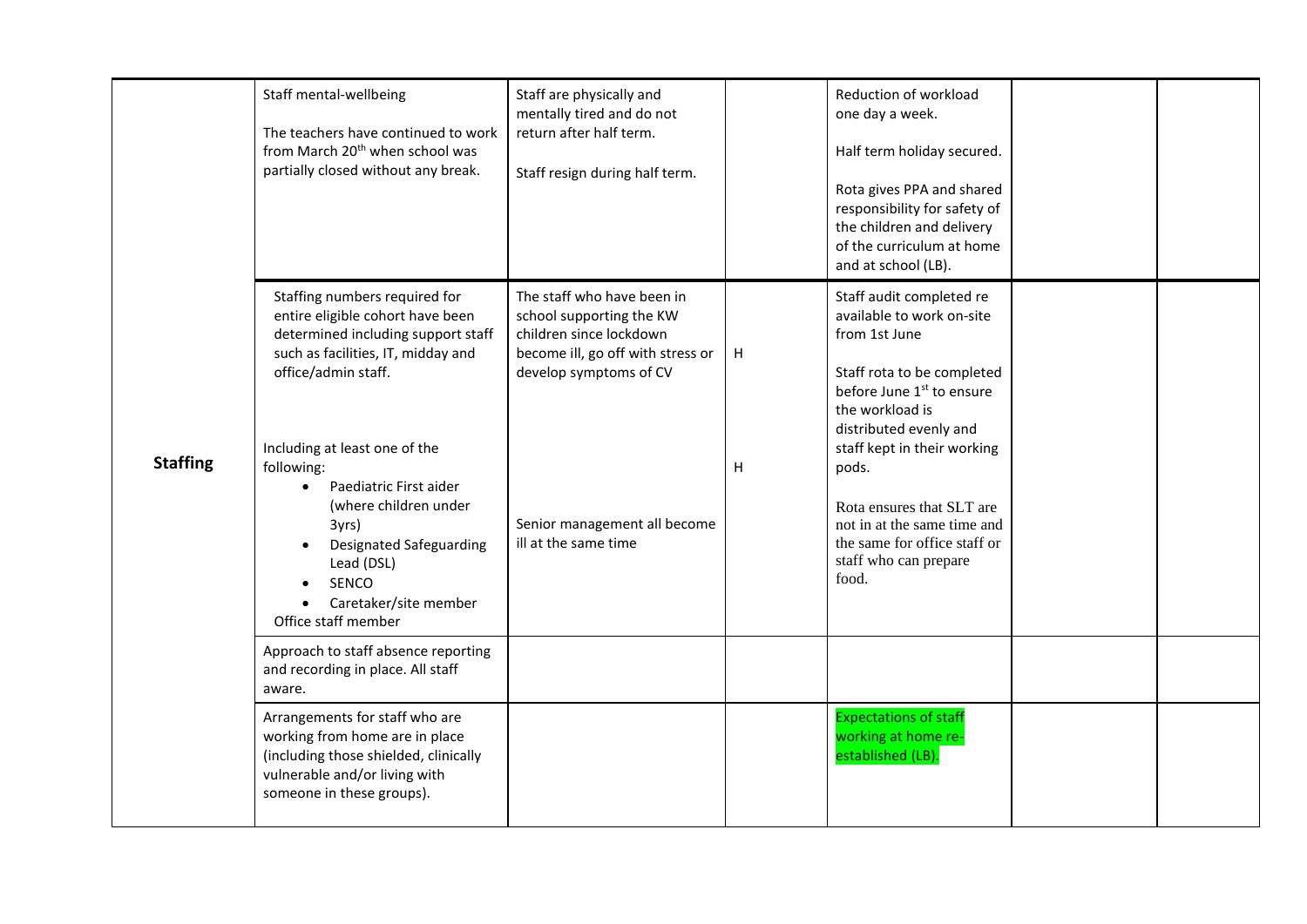<span id="page-7-0"></span>

|                 | Staff mental-wellbeing<br>The teachers have continued to work<br>from March 20 <sup>th</sup> when school was<br>partially closed without any break.                                                                                                                                                                                                                                                   | Staff are physically and<br>mentally tired and do not<br>return after half term.<br>Staff resign during half term.                                                                                       |        | Reduction of workload<br>one day a week.<br>Half term holiday secured.<br>Rota gives PPA and shared<br>responsibility for safety of<br>the children and delivery<br>of the curriculum at home<br>and at school (LB).                                                                                                                                             |  |
|-----------------|-------------------------------------------------------------------------------------------------------------------------------------------------------------------------------------------------------------------------------------------------------------------------------------------------------------------------------------------------------------------------------------------------------|----------------------------------------------------------------------------------------------------------------------------------------------------------------------------------------------------------|--------|------------------------------------------------------------------------------------------------------------------------------------------------------------------------------------------------------------------------------------------------------------------------------------------------------------------------------------------------------------------|--|
| <b>Staffing</b> | Staffing numbers required for<br>entire eligible cohort have been<br>determined including support staff<br>such as facilities, IT, midday and<br>office/admin staff.<br>Including at least one of the<br>following:<br>Paediatric First aider<br>$\bullet$<br>(where children under<br>3yrs)<br><b>Designated Safeguarding</b><br>Lead (DSL)<br>SENCO<br>Caretaker/site member<br>Office staff member | The staff who have been in<br>school supporting the KW<br>children since lockdown<br>become ill, go off with stress or<br>develop symptoms of CV<br>Senior management all become<br>ill at the same time | H<br>H | Staff audit completed re<br>available to work on-site<br>from 1st June<br>Staff rota to be completed<br>before June 1 <sup>st</sup> to ensure<br>the workload is<br>distributed evenly and<br>staff kept in their working<br>pods.<br>Rota ensures that SLT are<br>not in at the same time and<br>the same for office staff or<br>staff who can prepare<br>food. |  |
|                 | Approach to staff absence reporting<br>and recording in place. All staff<br>aware.                                                                                                                                                                                                                                                                                                                    |                                                                                                                                                                                                          |        |                                                                                                                                                                                                                                                                                                                                                                  |  |
|                 | Arrangements for staff who are<br>working from home are in place<br>(including those shielded, clinically<br>vulnerable and/or living with<br>someone in these groups).                                                                                                                                                                                                                               |                                                                                                                                                                                                          |        | <b>Expectations of staff</b><br>working at home re-<br>established (LB).                                                                                                                                                                                                                                                                                         |  |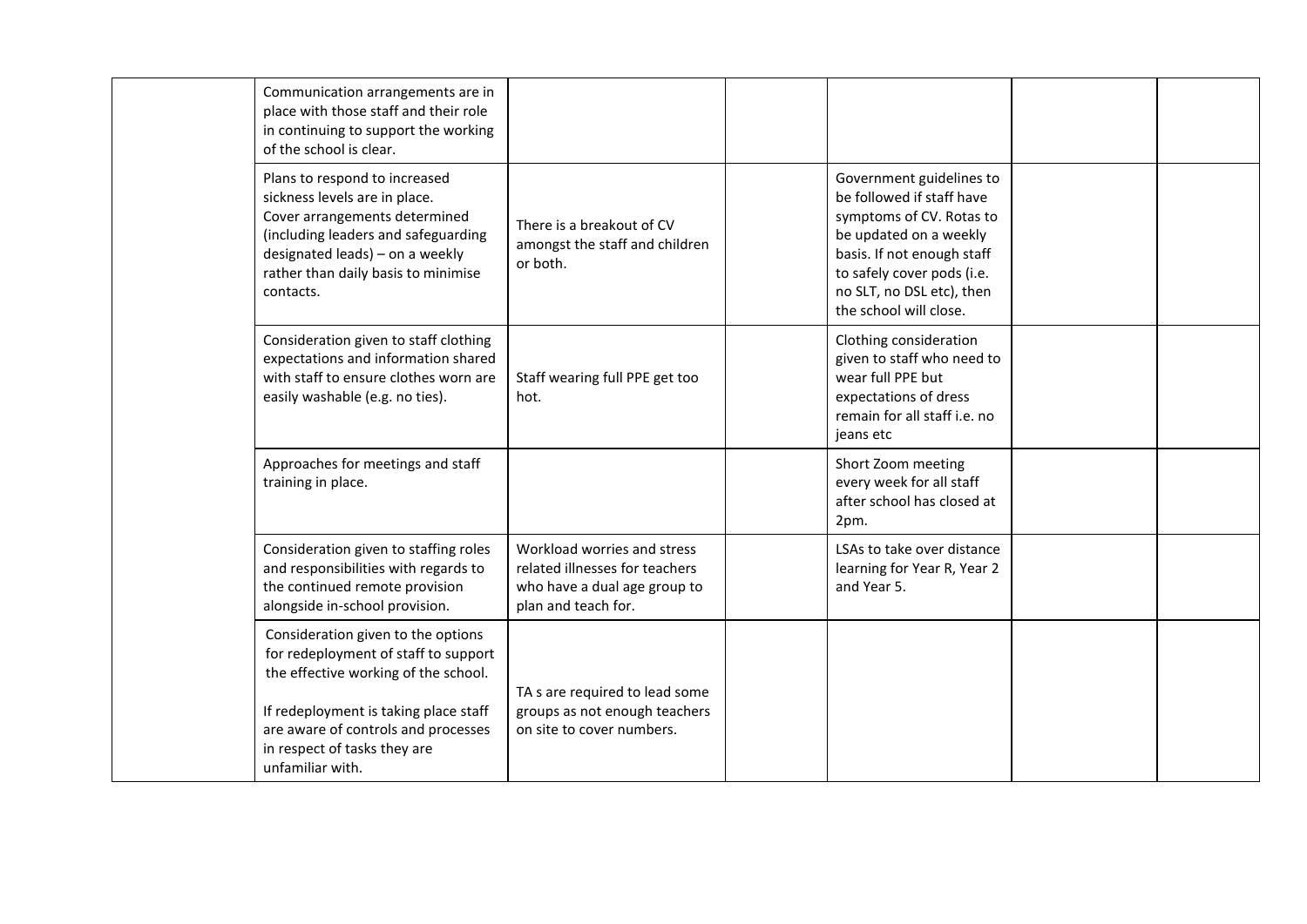| Communication arrangements are in<br>place with those staff and their role<br>in continuing to support the working<br>of the school is clear.                                                                                                          |                                                                                                                      |                                                                                                                                                                                                                                |  |
|--------------------------------------------------------------------------------------------------------------------------------------------------------------------------------------------------------------------------------------------------------|----------------------------------------------------------------------------------------------------------------------|--------------------------------------------------------------------------------------------------------------------------------------------------------------------------------------------------------------------------------|--|
| Plans to respond to increased<br>sickness levels are in place.<br>Cover arrangements determined<br>(including leaders and safeguarding<br>designated leads) - on a weekly<br>rather than daily basis to minimise<br>contacts.                          | There is a breakout of CV<br>amongst the staff and children<br>or both.                                              | Government guidelines to<br>be followed if staff have<br>symptoms of CV. Rotas to<br>be updated on a weekly<br>basis. If not enough staff<br>to safely cover pods (i.e.<br>no SLT, no DSL etc), then<br>the school will close. |  |
| Consideration given to staff clothing<br>expectations and information shared<br>with staff to ensure clothes worn are<br>easily washable (e.g. no ties).                                                                                               | Staff wearing full PPE get too<br>hot.                                                                               | Clothing consideration<br>given to staff who need to<br>wear full PPE but<br>expectations of dress<br>remain for all staff i.e. no<br>jeans etc                                                                                |  |
| Approaches for meetings and staff<br>training in place.                                                                                                                                                                                                |                                                                                                                      | Short Zoom meeting<br>every week for all staff<br>after school has closed at<br>2pm.                                                                                                                                           |  |
| Consideration given to staffing roles<br>and responsibilities with regards to<br>the continued remote provision<br>alongside in-school provision.                                                                                                      | Workload worries and stress<br>related illnesses for teachers<br>who have a dual age group to<br>plan and teach for. | LSAs to take over distance<br>learning for Year R, Year 2<br>and Year 5.                                                                                                                                                       |  |
| Consideration given to the options<br>for redeployment of staff to support<br>the effective working of the school.<br>If redeployment is taking place staff<br>are aware of controls and processes<br>in respect of tasks they are<br>unfamiliar with. | TA s are required to lead some<br>groups as not enough teachers<br>on site to cover numbers.                         |                                                                                                                                                                                                                                |  |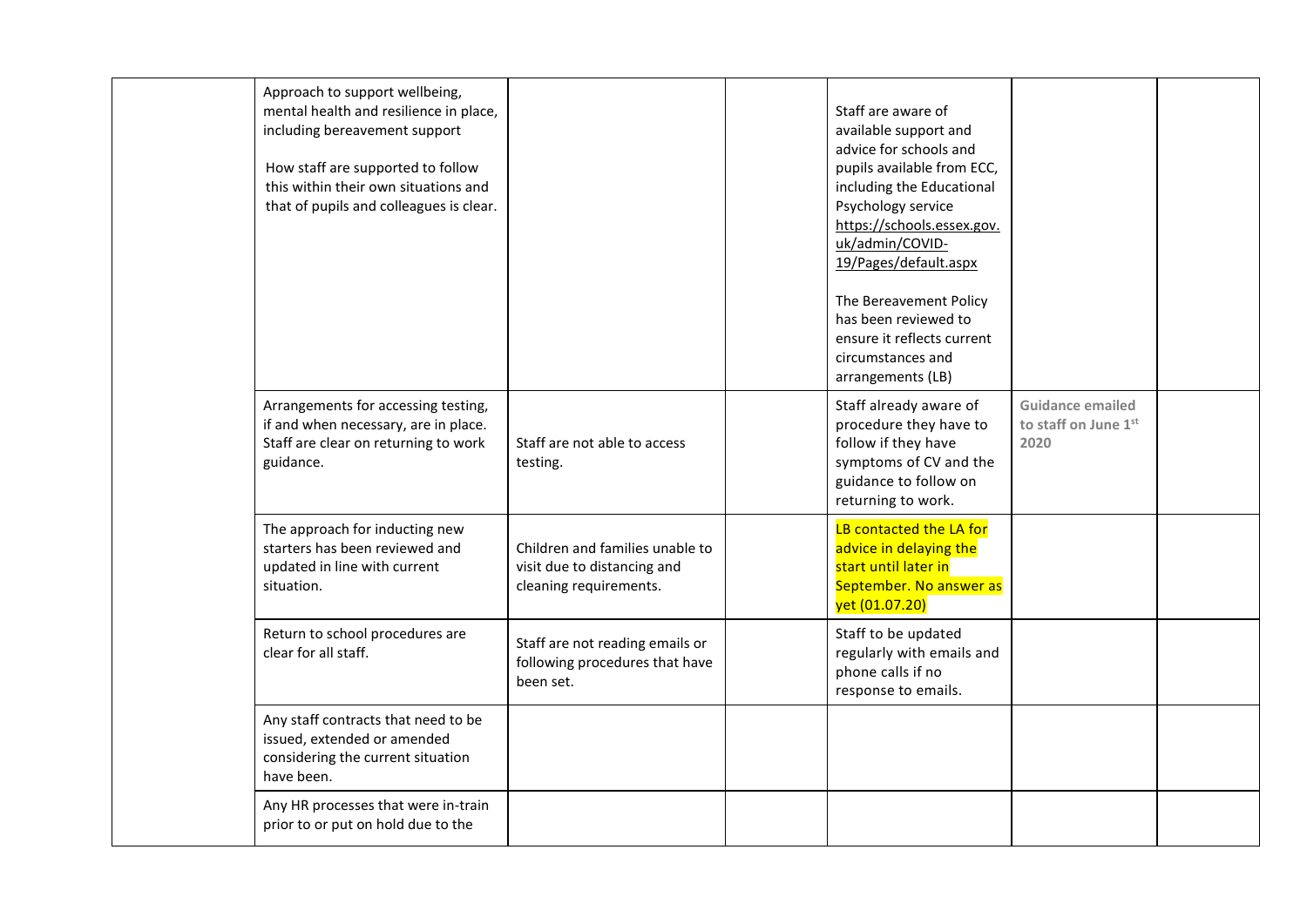| Approach to support wellbeing,<br>mental health and resilience in place,<br>including bereavement support<br>How staff are supported to follow<br>this within their own situations and<br>that of pupils and colleagues is clear. |                                                                                          | Staff are aware of<br>available support and<br>advice for schools and<br>pupils available from ECC,<br>including the Educational<br>Psychology service<br>https://schools.essex.gov.<br>uk/admin/COVID-<br>19/Pages/default.aspx<br>The Bereavement Policy<br>has been reviewed to<br>ensure it reflects current<br>circumstances and<br>arrangements (LB) |                                                         |  |
|-----------------------------------------------------------------------------------------------------------------------------------------------------------------------------------------------------------------------------------|------------------------------------------------------------------------------------------|------------------------------------------------------------------------------------------------------------------------------------------------------------------------------------------------------------------------------------------------------------------------------------------------------------------------------------------------------------|---------------------------------------------------------|--|
| Arrangements for accessing testing,<br>if and when necessary, are in place.<br>Staff are clear on returning to work<br>guidance.                                                                                                  | Staff are not able to access<br>testing.                                                 | Staff already aware of<br>procedure they have to<br>follow if they have<br>symptoms of CV and the<br>guidance to follow on<br>returning to work.                                                                                                                                                                                                           | <b>Guidance emailed</b><br>to staff on June 1st<br>2020 |  |
| The approach for inducting new<br>starters has been reviewed and<br>updated in line with current<br>situation.                                                                                                                    | Children and families unable to<br>visit due to distancing and<br>cleaning requirements. | LB contacted the LA for<br>advice in delaying the<br>start until later in<br>September. No answer as<br>yet (01.07.20)                                                                                                                                                                                                                                     |                                                         |  |
| Return to school procedures are<br>clear for all staff.                                                                                                                                                                           | Staff are not reading emails or<br>following procedures that have<br>been set.           | Staff to be updated<br>regularly with emails and<br>phone calls if no<br>response to emails.                                                                                                                                                                                                                                                               |                                                         |  |
| Any staff contracts that need to be<br>issued, extended or amended<br>considering the current situation<br>have been.                                                                                                             |                                                                                          |                                                                                                                                                                                                                                                                                                                                                            |                                                         |  |
| Any HR processes that were in-train<br>prior to or put on hold due to the                                                                                                                                                         |                                                                                          |                                                                                                                                                                                                                                                                                                                                                            |                                                         |  |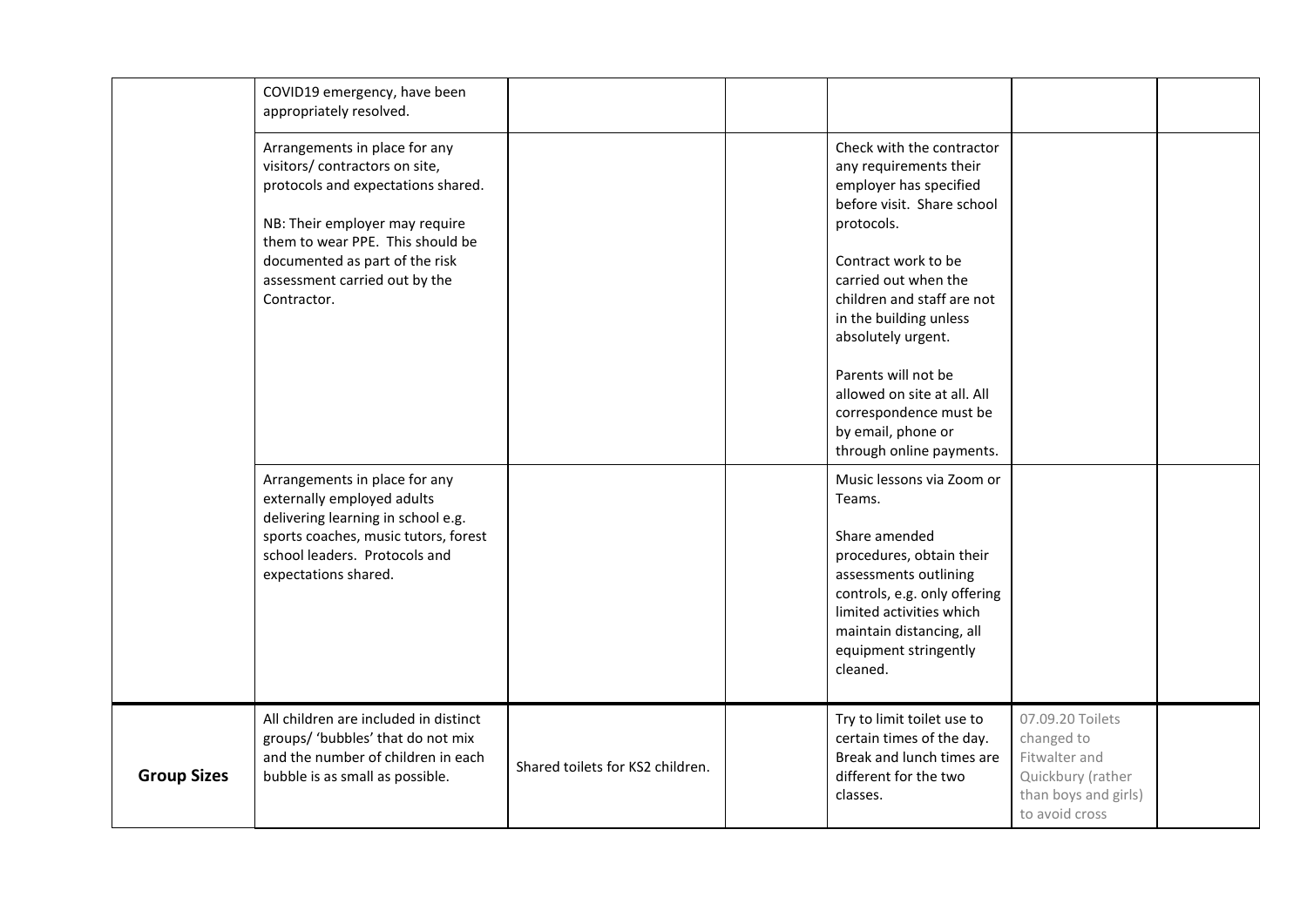<span id="page-10-0"></span>

|                    | COVID19 emergency, have been<br>appropriately resolved.                                                                                                                                                                                                       |                                  |                                                                                                                                                                                                                                                                                                                                                                                          |                                                                                                                |  |
|--------------------|---------------------------------------------------------------------------------------------------------------------------------------------------------------------------------------------------------------------------------------------------------------|----------------------------------|------------------------------------------------------------------------------------------------------------------------------------------------------------------------------------------------------------------------------------------------------------------------------------------------------------------------------------------------------------------------------------------|----------------------------------------------------------------------------------------------------------------|--|
|                    | Arrangements in place for any<br>visitors/ contractors on site,<br>protocols and expectations shared.<br>NB: Their employer may require<br>them to wear PPE. This should be<br>documented as part of the risk<br>assessment carried out by the<br>Contractor. |                                  | Check with the contractor<br>any requirements their<br>employer has specified<br>before visit. Share school<br>protocols.<br>Contract work to be<br>carried out when the<br>children and staff are not<br>in the building unless<br>absolutely urgent.<br>Parents will not be<br>allowed on site at all. All<br>correspondence must be<br>by email, phone or<br>through online payments. |                                                                                                                |  |
|                    | Arrangements in place for any<br>externally employed adults<br>delivering learning in school e.g.<br>sports coaches, music tutors, forest<br>school leaders. Protocols and<br>expectations shared.                                                            |                                  | Music lessons via Zoom or<br>Teams.<br>Share amended<br>procedures, obtain their<br>assessments outlining<br>controls, e.g. only offering<br>limited activities which<br>maintain distancing, all<br>equipment stringently<br>cleaned.                                                                                                                                                   |                                                                                                                |  |
| <b>Group Sizes</b> | All children are included in distinct<br>groups/ 'bubbles' that do not mix<br>and the number of children in each<br>bubble is as small as possible.                                                                                                           | Shared toilets for KS2 children. | Try to limit toilet use to<br>certain times of the day.<br>Break and lunch times are<br>different for the two<br>classes.                                                                                                                                                                                                                                                                | 07.09.20 Toilets<br>changed to<br>Fitwalter and<br>Quickbury (rather<br>than boys and girls)<br>to avoid cross |  |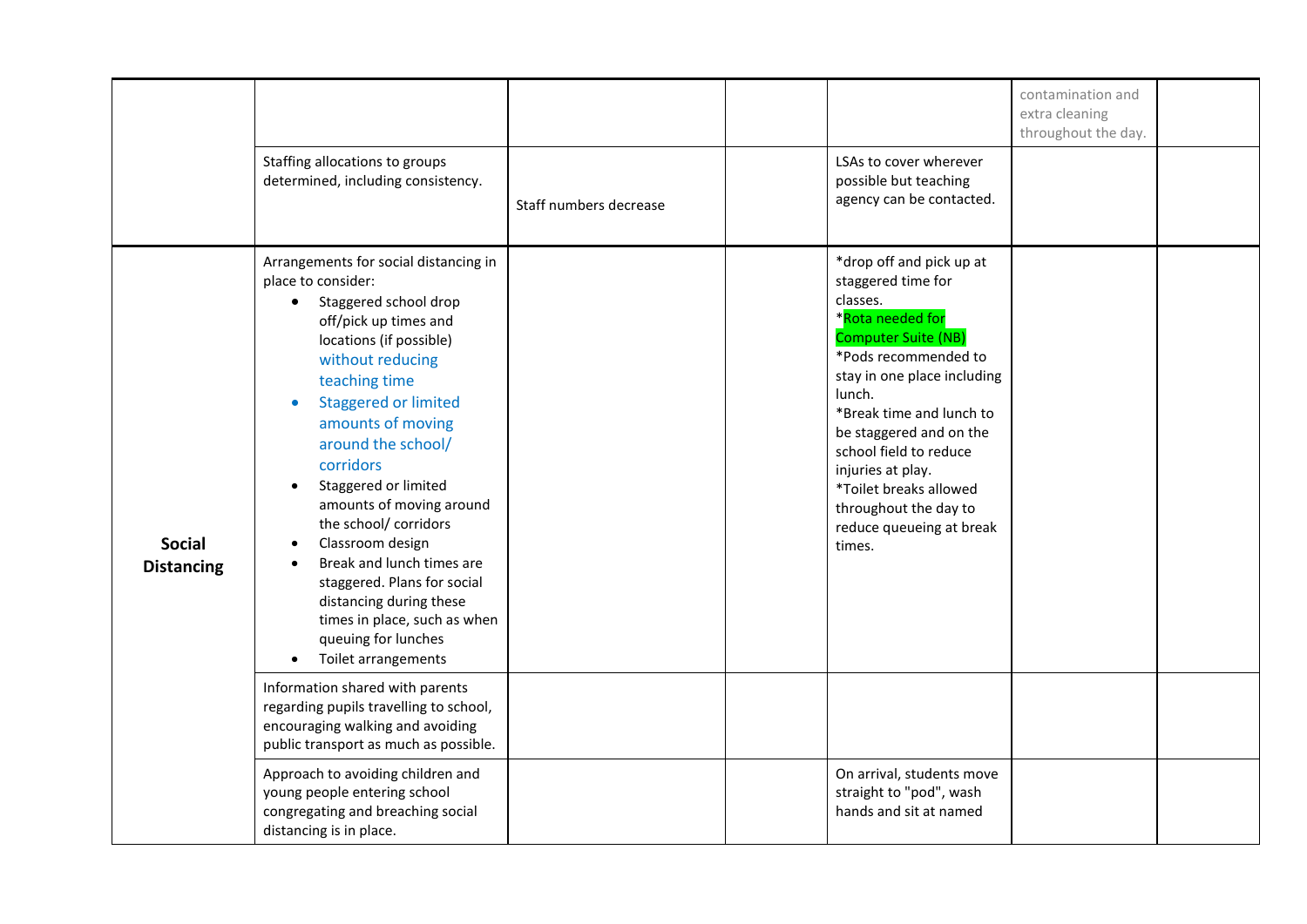<span id="page-11-0"></span>

|                                    | Staffing allocations to groups<br>determined, including consistency.                                                                                                                                                                                                                                                                                                                                                                                                                                                                       | Staff numbers decrease | LSAs to cover wherever<br>possible but teaching<br>agency can be contacted.                                                                                                                                                                                                                                                                                                  | contamination and<br>extra cleaning<br>throughout the day. |  |
|------------------------------------|--------------------------------------------------------------------------------------------------------------------------------------------------------------------------------------------------------------------------------------------------------------------------------------------------------------------------------------------------------------------------------------------------------------------------------------------------------------------------------------------------------------------------------------------|------------------------|------------------------------------------------------------------------------------------------------------------------------------------------------------------------------------------------------------------------------------------------------------------------------------------------------------------------------------------------------------------------------|------------------------------------------------------------|--|
| <b>Social</b><br><b>Distancing</b> | Arrangements for social distancing in<br>place to consider:<br>Staggered school drop<br>off/pick up times and<br>locations (if possible)<br>without reducing<br>teaching time<br><b>Staggered or limited</b><br>amounts of moving<br>around the school/<br>corridors<br>Staggered or limited<br>amounts of moving around<br>the school/ corridors<br>Classroom design<br>Break and lunch times are<br>staggered. Plans for social<br>distancing during these<br>times in place, such as when<br>queuing for lunches<br>Toilet arrangements |                        | *drop off and pick up at<br>staggered time for<br>classes.<br>*Rota needed for<br><b>Computer Suite (NB)</b><br>*Pods recommended to<br>stay in one place including<br>lunch.<br>*Break time and lunch to<br>be staggered and on the<br>school field to reduce<br>injuries at play.<br>*Toilet breaks allowed<br>throughout the day to<br>reduce queueing at break<br>times. |                                                            |  |
|                                    | Information shared with parents<br>regarding pupils travelling to school,<br>encouraging walking and avoiding<br>public transport as much as possible.                                                                                                                                                                                                                                                                                                                                                                                     |                        |                                                                                                                                                                                                                                                                                                                                                                              |                                                            |  |
|                                    | Approach to avoiding children and<br>young people entering school<br>congregating and breaching social<br>distancing is in place.                                                                                                                                                                                                                                                                                                                                                                                                          |                        | On arrival, students move<br>straight to "pod", wash<br>hands and sit at named                                                                                                                                                                                                                                                                                               |                                                            |  |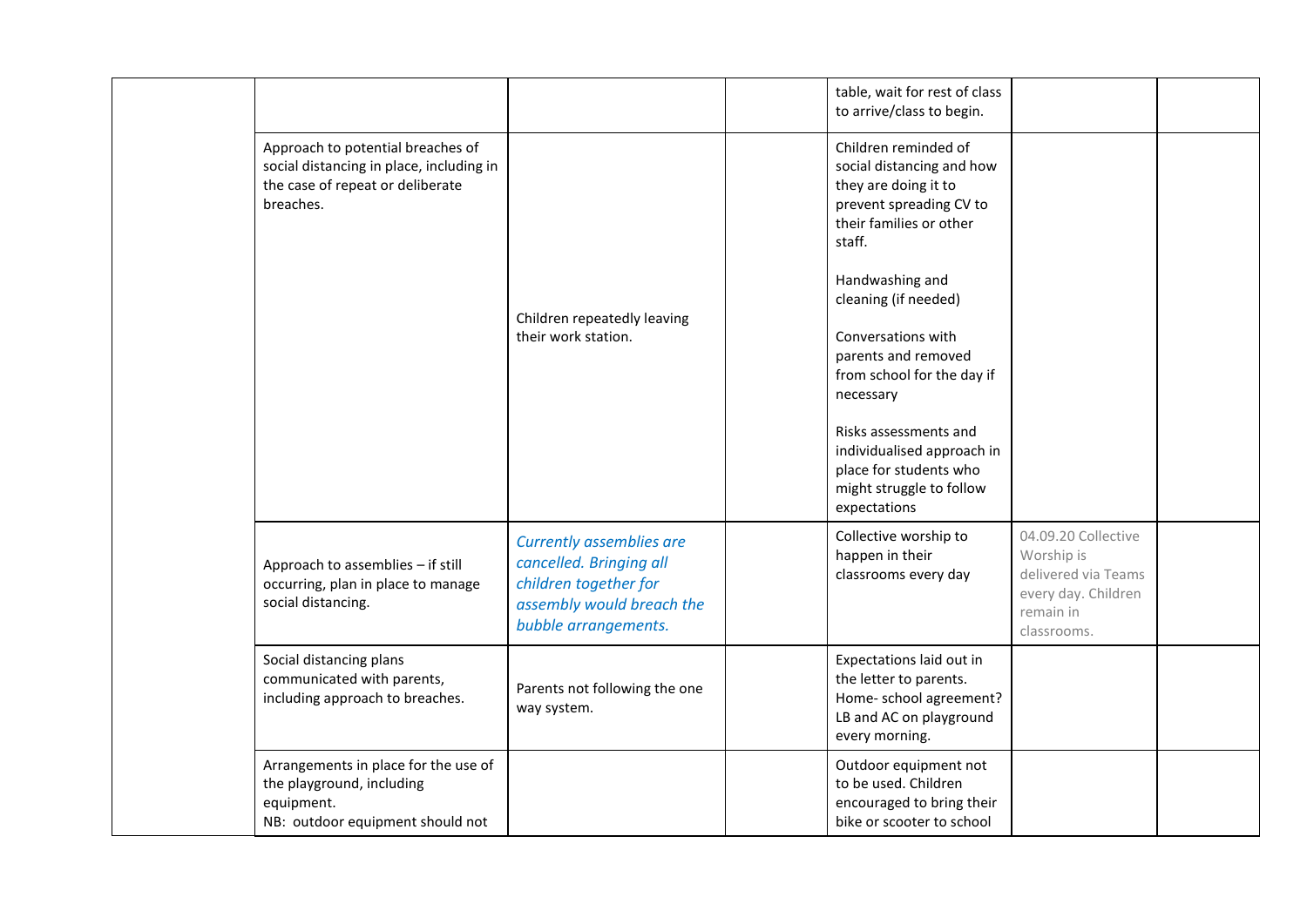|                                                                                                                                |                                                                                                                                          | table, wait for rest of class<br>to arrive/class to begin.                                                                                                                                                                                                                                                                                                                                                |                                                                                                             |  |
|--------------------------------------------------------------------------------------------------------------------------------|------------------------------------------------------------------------------------------------------------------------------------------|-----------------------------------------------------------------------------------------------------------------------------------------------------------------------------------------------------------------------------------------------------------------------------------------------------------------------------------------------------------------------------------------------------------|-------------------------------------------------------------------------------------------------------------|--|
| Approach to potential breaches of<br>social distancing in place, including in<br>the case of repeat or deliberate<br>breaches. | Children repeatedly leaving<br>their work station.                                                                                       | Children reminded of<br>social distancing and how<br>they are doing it to<br>prevent spreading CV to<br>their families or other<br>staff.<br>Handwashing and<br>cleaning (if needed)<br>Conversations with<br>parents and removed<br>from school for the day if<br>necessary<br>Risks assessments and<br>individualised approach in<br>place for students who<br>might struggle to follow<br>expectations |                                                                                                             |  |
| Approach to assemblies - if still<br>occurring, plan in place to manage<br>social distancing.                                  | <b>Currently assemblies are</b><br>cancelled. Bringing all<br>children together for<br>assembly would breach the<br>bubble arrangements. | Collective worship to<br>happen in their<br>classrooms every day                                                                                                                                                                                                                                                                                                                                          | 04.09.20 Collective<br>Worship is<br>delivered via Teams<br>every day. Children<br>remain in<br>classrooms. |  |
| Social distancing plans<br>communicated with parents,<br>including approach to breaches.                                       | Parents not following the one<br>way system.                                                                                             | Expectations laid out in<br>the letter to parents.<br>Home- school agreement?<br>LB and AC on playground<br>every morning.                                                                                                                                                                                                                                                                                |                                                                                                             |  |
| Arrangements in place for the use of<br>the playground, including<br>equipment.<br>NB: outdoor equipment should not            |                                                                                                                                          | Outdoor equipment not<br>to be used. Children<br>encouraged to bring their<br>bike or scooter to school                                                                                                                                                                                                                                                                                                   |                                                                                                             |  |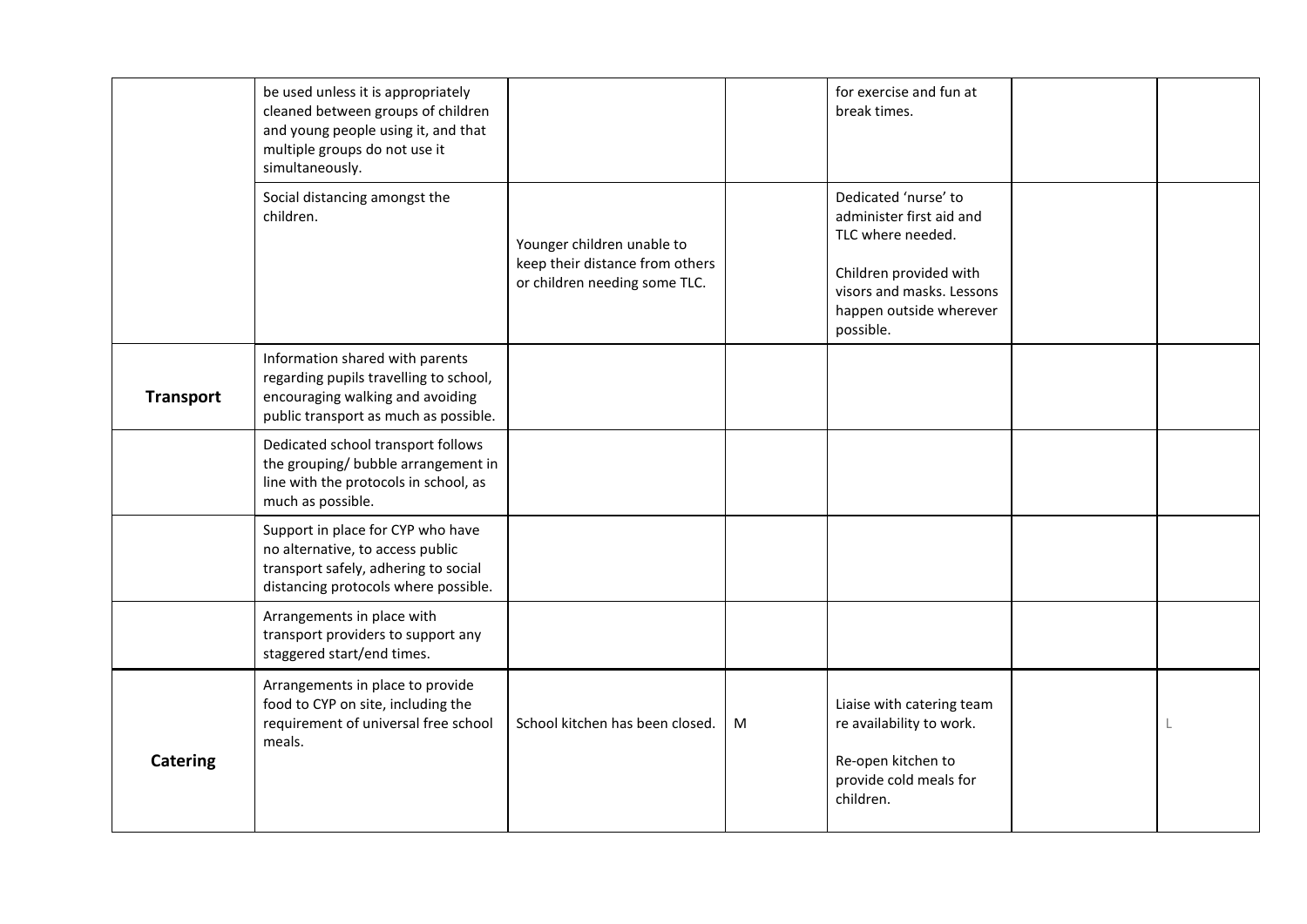<span id="page-13-0"></span>

|                  | be used unless it is appropriately<br>cleaned between groups of children<br>and young people using it, and that<br>multiple groups do not use it<br>simultaneously. |                                                                                                |   | for exercise and fun at<br>break times.                                                                                                                              |  |
|------------------|---------------------------------------------------------------------------------------------------------------------------------------------------------------------|------------------------------------------------------------------------------------------------|---|----------------------------------------------------------------------------------------------------------------------------------------------------------------------|--|
|                  | Social distancing amongst the<br>children.                                                                                                                          | Younger children unable to<br>keep their distance from others<br>or children needing some TLC. |   | Dedicated 'nurse' to<br>administer first aid and<br>TLC where needed.<br>Children provided with<br>visors and masks. Lessons<br>happen outside wherever<br>possible. |  |
| <b>Transport</b> | Information shared with parents<br>regarding pupils travelling to school,<br>encouraging walking and avoiding<br>public transport as much as possible.              |                                                                                                |   |                                                                                                                                                                      |  |
|                  | Dedicated school transport follows<br>the grouping/ bubble arrangement in<br>line with the protocols in school, as<br>much as possible.                             |                                                                                                |   |                                                                                                                                                                      |  |
|                  | Support in place for CYP who have<br>no alternative, to access public<br>transport safely, adhering to social<br>distancing protocols where possible.               |                                                                                                |   |                                                                                                                                                                      |  |
|                  | Arrangements in place with<br>transport providers to support any<br>staggered start/end times.                                                                      |                                                                                                |   |                                                                                                                                                                      |  |
| <b>Catering</b>  | Arrangements in place to provide<br>food to CYP on site, including the<br>requirement of universal free school<br>meals.                                            | School kitchen has been closed.                                                                | M | Liaise with catering team<br>re availability to work.<br>Re-open kitchen to<br>provide cold meals for<br>children.                                                   |  |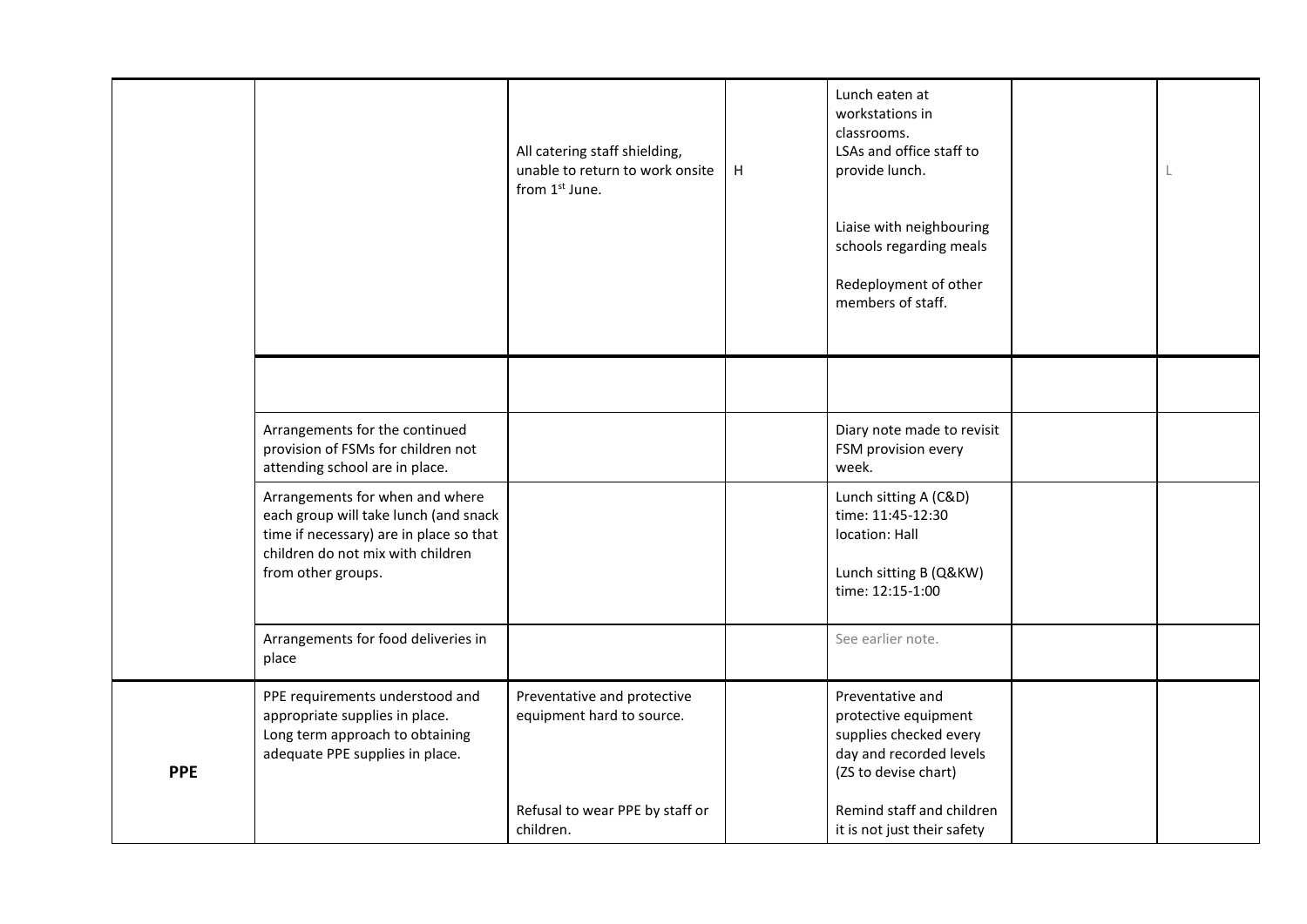<span id="page-14-0"></span>

|            |                                                                                                                                                                                | All catering staff shielding,<br>unable to return to work onsite<br>from 1st June. | H | Lunch eaten at<br>workstations in<br>classrooms.<br>LSAs and office staff to<br>provide lunch.<br>Liaise with neighbouring<br>schools regarding meals<br>Redeployment of other<br>members of staff. |  |
|------------|--------------------------------------------------------------------------------------------------------------------------------------------------------------------------------|------------------------------------------------------------------------------------|---|-----------------------------------------------------------------------------------------------------------------------------------------------------------------------------------------------------|--|
|            |                                                                                                                                                                                |                                                                                    |   |                                                                                                                                                                                                     |  |
|            | Arrangements for the continued<br>provision of FSMs for children not<br>attending school are in place.                                                                         |                                                                                    |   | Diary note made to revisit<br>FSM provision every<br>week.                                                                                                                                          |  |
|            | Arrangements for when and where<br>each group will take lunch (and snack<br>time if necessary) are in place so that<br>children do not mix with children<br>from other groups. |                                                                                    |   | Lunch sitting A (C&D)<br>time: 11:45-12:30<br>location: Hall<br>Lunch sitting B (Q&KW)<br>time: 12:15-1:00                                                                                          |  |
|            | Arrangements for food deliveries in<br>place                                                                                                                                   |                                                                                    |   | See earlier note.                                                                                                                                                                                   |  |
| <b>PPE</b> | PPE requirements understood and<br>appropriate supplies in place.<br>Long term approach to obtaining<br>adequate PPE supplies in place.                                        | Preventative and protective<br>equipment hard to source.                           |   | Preventative and<br>protective equipment<br>supplies checked every<br>day and recorded levels<br>(ZS to devise chart)                                                                               |  |
|            |                                                                                                                                                                                | Refusal to wear PPE by staff or<br>children.                                       |   | Remind staff and children<br>it is not just their safety                                                                                                                                            |  |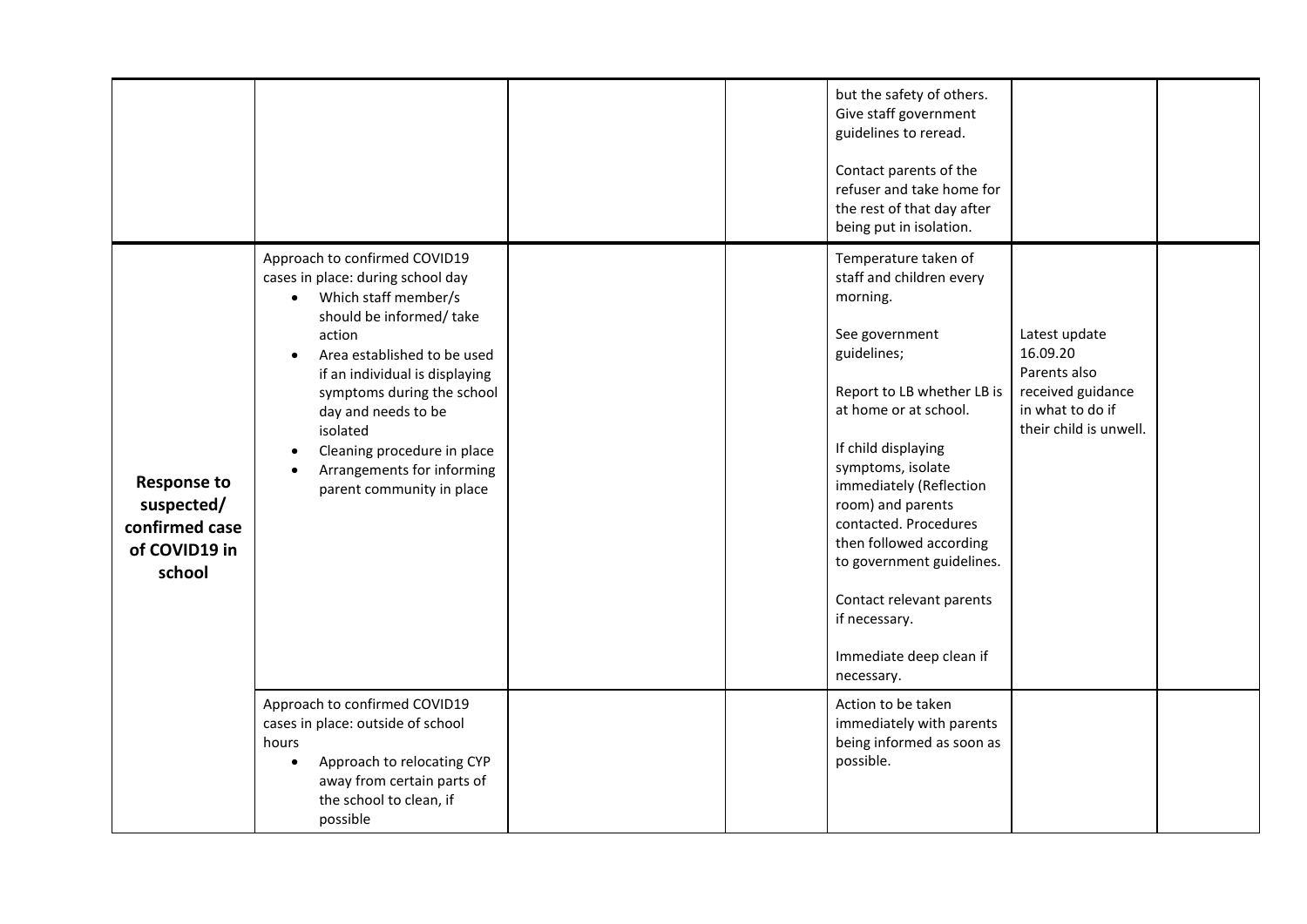<span id="page-15-0"></span>

|                                                                               |                                                                                                                                                                                                                                                                                                                                                                          |  | but the safety of others.<br>Give staff government<br>guidelines to reread.<br>Contact parents of the<br>refuser and take home for<br>the rest of that day after<br>being put in isolation.                                                                                                                                                                                                                             |                                                                                                              |  |
|-------------------------------------------------------------------------------|--------------------------------------------------------------------------------------------------------------------------------------------------------------------------------------------------------------------------------------------------------------------------------------------------------------------------------------------------------------------------|--|-------------------------------------------------------------------------------------------------------------------------------------------------------------------------------------------------------------------------------------------------------------------------------------------------------------------------------------------------------------------------------------------------------------------------|--------------------------------------------------------------------------------------------------------------|--|
| <b>Response to</b><br>suspected/<br>confirmed case<br>of COVID19 in<br>school | Approach to confirmed COVID19<br>cases in place: during school day<br>Which staff member/s<br>$\bullet$<br>should be informed/take<br>action<br>Area established to be used<br>if an individual is displaying<br>symptoms during the school<br>day and needs to be<br>isolated<br>Cleaning procedure in place<br>Arrangements for informing<br>parent community in place |  | Temperature taken of<br>staff and children every<br>morning.<br>See government<br>guidelines;<br>Report to LB whether LB is<br>at home or at school.<br>If child displaying<br>symptoms, isolate<br>immediately (Reflection<br>room) and parents<br>contacted. Procedures<br>then followed according<br>to government guidelines.<br>Contact relevant parents<br>if necessary.<br>Immediate deep clean if<br>necessary. | Latest update<br>16.09.20<br>Parents also<br>received guidance<br>in what to do if<br>their child is unwell. |  |
|                                                                               | Approach to confirmed COVID19<br>cases in place: outside of school<br>hours<br>Approach to relocating CYP<br>away from certain parts of<br>the school to clean, if<br>possible                                                                                                                                                                                           |  | Action to be taken<br>immediately with parents<br>being informed as soon as<br>possible.                                                                                                                                                                                                                                                                                                                                |                                                                                                              |  |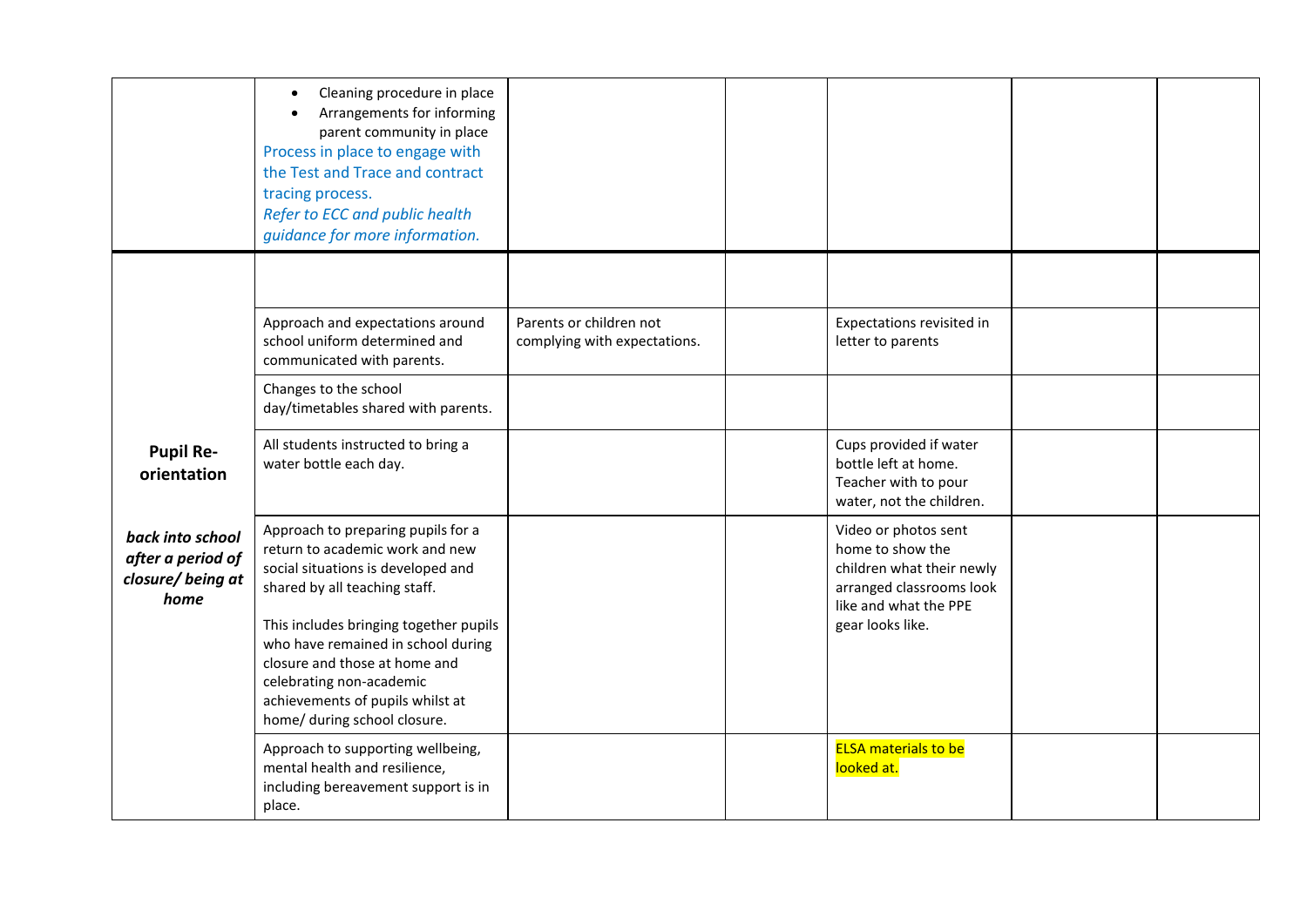<span id="page-16-0"></span>

|                                                                    | Cleaning procedure in place<br>Arrangements for informing<br>parent community in place<br>Process in place to engage with<br>the Test and Trace and contract<br>tracing process.<br>Refer to ECC and public health<br>guidance for more information.                                                                                                          |                                                         |                                                                                                                                                |  |
|--------------------------------------------------------------------|---------------------------------------------------------------------------------------------------------------------------------------------------------------------------------------------------------------------------------------------------------------------------------------------------------------------------------------------------------------|---------------------------------------------------------|------------------------------------------------------------------------------------------------------------------------------------------------|--|
|                                                                    | Approach and expectations around<br>school uniform determined and<br>communicated with parents.                                                                                                                                                                                                                                                               | Parents or children not<br>complying with expectations. | Expectations revisited in<br>letter to parents                                                                                                 |  |
|                                                                    | Changes to the school<br>day/timetables shared with parents.                                                                                                                                                                                                                                                                                                  |                                                         |                                                                                                                                                |  |
| <b>Pupil Re-</b><br>orientation                                    | All students instructed to bring a<br>water bottle each day.                                                                                                                                                                                                                                                                                                  |                                                         | Cups provided if water<br>bottle left at home.<br>Teacher with to pour<br>water, not the children.                                             |  |
| back into school<br>after a period of<br>closure/ being at<br>home | Approach to preparing pupils for a<br>return to academic work and new<br>social situations is developed and<br>shared by all teaching staff.<br>This includes bringing together pupils<br>who have remained in school during<br>closure and those at home and<br>celebrating non-academic<br>achievements of pupils whilst at<br>home/ during school closure. |                                                         | Video or photos sent<br>home to show the<br>children what their newly<br>arranged classrooms look<br>like and what the PPE<br>gear looks like. |  |
|                                                                    | Approach to supporting wellbeing,<br>mental health and resilience,<br>including bereavement support is in<br>place.                                                                                                                                                                                                                                           |                                                         | <b>ELSA</b> materials to be<br>looked at.                                                                                                      |  |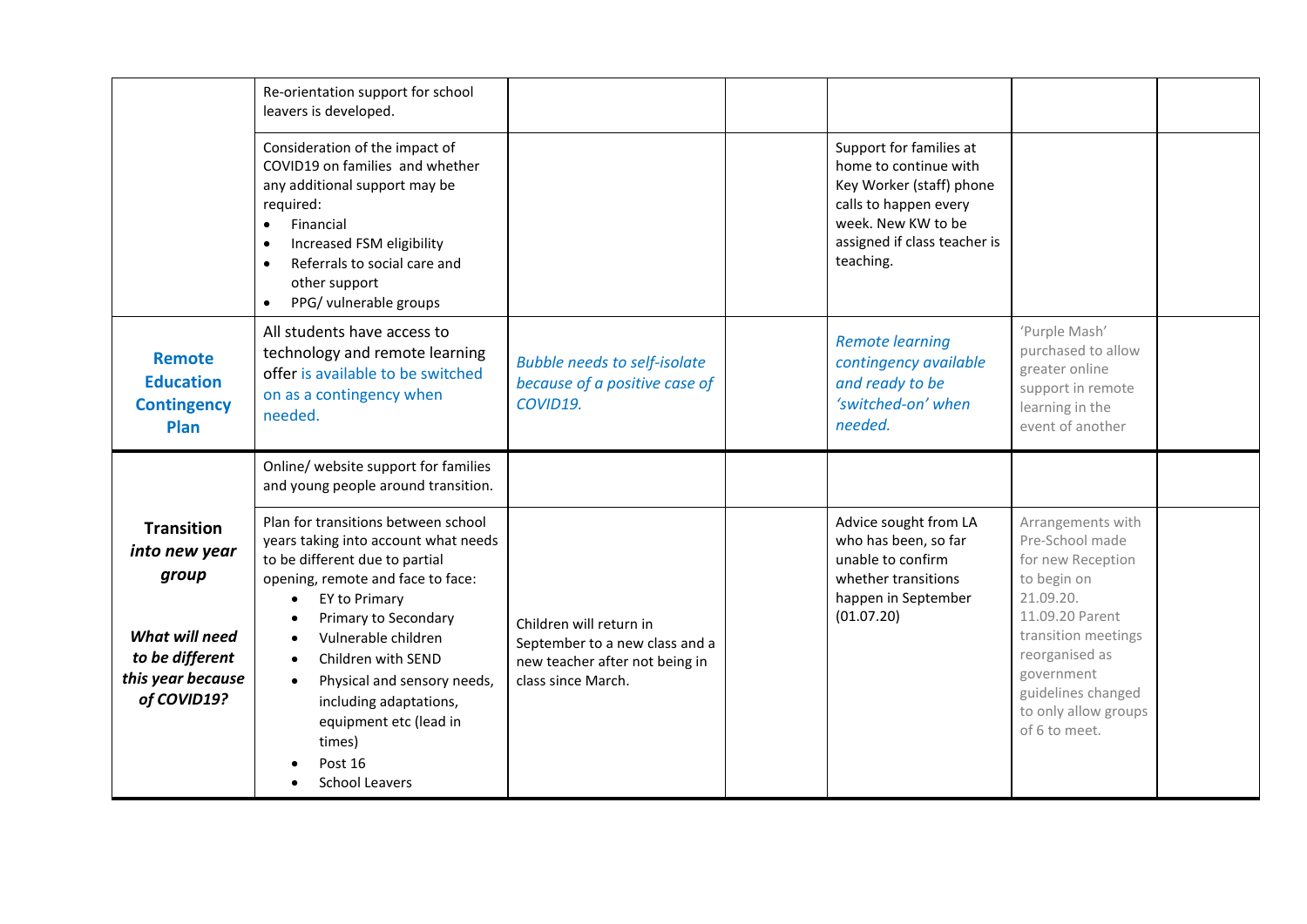<span id="page-17-0"></span>

|                                                                                                                      | Re-orientation support for school<br>leavers is developed.                                                                                                                                                                                                                                                                                                                                          |                                                                                                                   |                                                                                                                                                                          |                                                                                                                                                                                                                                |  |
|----------------------------------------------------------------------------------------------------------------------|-----------------------------------------------------------------------------------------------------------------------------------------------------------------------------------------------------------------------------------------------------------------------------------------------------------------------------------------------------------------------------------------------------|-------------------------------------------------------------------------------------------------------------------|--------------------------------------------------------------------------------------------------------------------------------------------------------------------------|--------------------------------------------------------------------------------------------------------------------------------------------------------------------------------------------------------------------------------|--|
|                                                                                                                      | Consideration of the impact of<br>COVID19 on families and whether<br>any additional support may be<br>required:<br>Financial<br>$\bullet$<br>Increased FSM eligibility<br>Referrals to social care and<br>$\bullet$<br>other support<br>PPG/ vulnerable groups<br>$\bullet$                                                                                                                         |                                                                                                                   | Support for families at<br>home to continue with<br>Key Worker (staff) phone<br>calls to happen every<br>week. New KW to be<br>assigned if class teacher is<br>teaching. |                                                                                                                                                                                                                                |  |
| <b>Remote</b><br><b>Education</b><br><b>Contingency</b><br>Plan                                                      | All students have access to<br>technology and remote learning<br>offer is available to be switched<br>on as a contingency when<br>needed.                                                                                                                                                                                                                                                           | <b>Bubble needs to self-isolate</b><br>because of a positive case of<br>COVID19.                                  | <b>Remote learning</b><br>contingency available<br>and ready to be<br>'switched-on' when<br>needed.                                                                      | 'Purple Mash'<br>purchased to allow<br>greater online<br>support in remote<br>learning in the<br>event of another                                                                                                              |  |
|                                                                                                                      | Online/ website support for families<br>and young people around transition.                                                                                                                                                                                                                                                                                                                         |                                                                                                                   |                                                                                                                                                                          |                                                                                                                                                                                                                                |  |
| <b>Transition</b><br>into new year<br>group<br>What will need<br>to be different<br>this year because<br>of COVID19? | Plan for transitions between school<br>years taking into account what needs<br>to be different due to partial<br>opening, remote and face to face:<br>EY to Primary<br>$\bullet$<br>Primary to Secondary<br>Vulnerable children<br>Children with SEND<br>Physical and sensory needs,<br>$\bullet$<br>including adaptations,<br>equipment etc (lead in<br>times)<br>Post 16<br><b>School Leavers</b> | Children will return in<br>September to a new class and a<br>new teacher after not being in<br>class since March. | Advice sought from LA<br>who has been, so far<br>unable to confirm<br>whether transitions<br>happen in September<br>(01.07.20)                                           | Arrangements with<br>Pre-School made<br>for new Reception<br>to begin on<br>21.09.20.<br>11.09.20 Parent<br>transition meetings<br>reorganised as<br>government<br>guidelines changed<br>to only allow groups<br>of 6 to meet. |  |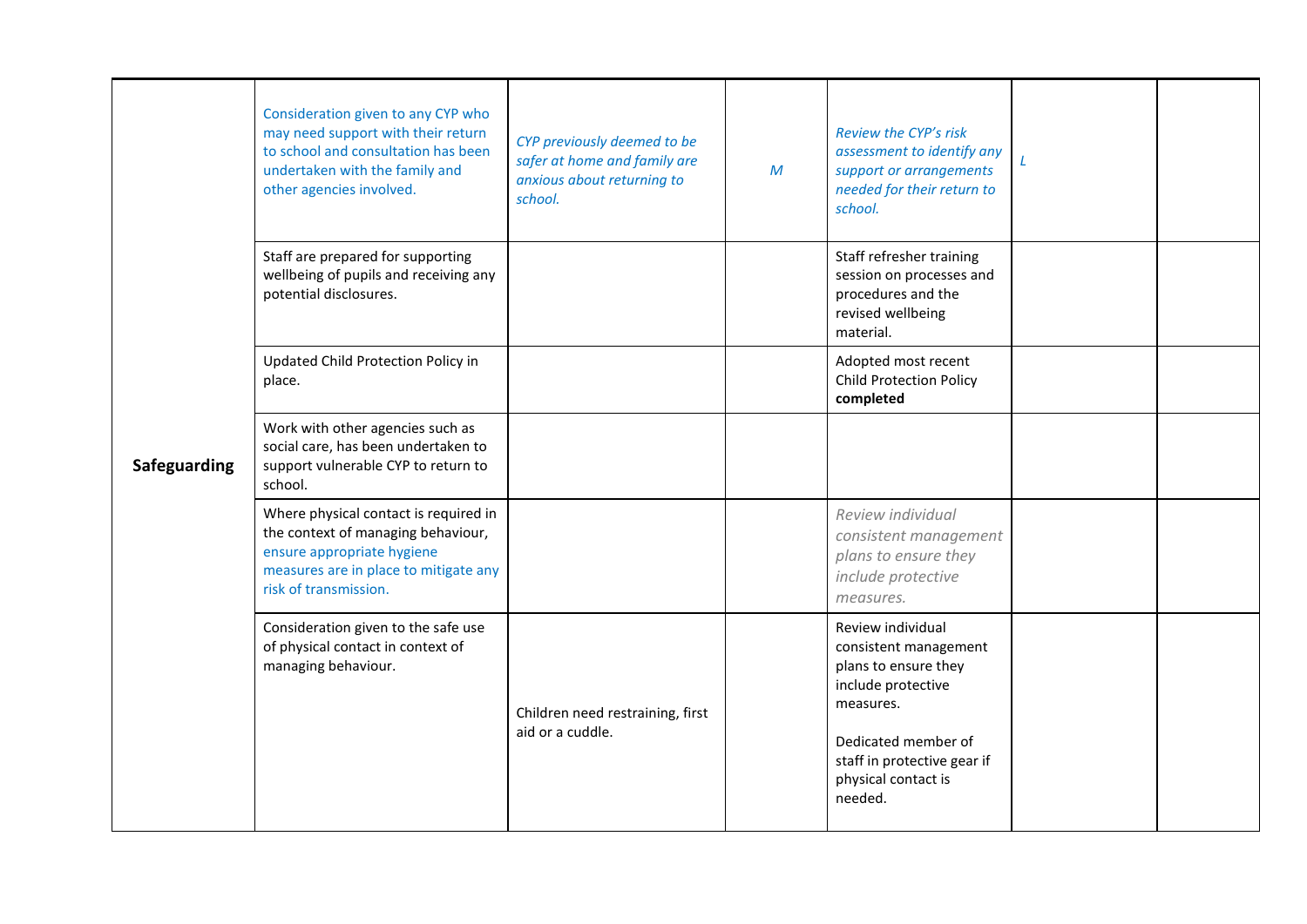<span id="page-18-0"></span>

|              | Consideration given to any CYP who<br>may need support with their return<br>to school and consultation has been<br>undertaken with the family and<br>other agencies involved. | CYP previously deemed to be<br>safer at home and family are<br>anxious about returning to<br>school. | $\mathcal M$ | <b>Review the CYP's risk</b><br>assessment to identify any<br>support or arrangements<br>needed for their return to<br>school. | L |  |
|--------------|-------------------------------------------------------------------------------------------------------------------------------------------------------------------------------|------------------------------------------------------------------------------------------------------|--------------|--------------------------------------------------------------------------------------------------------------------------------|---|--|
| Safeguarding | Staff are prepared for supporting<br>wellbeing of pupils and receiving any<br>potential disclosures.                                                                          |                                                                                                      |              | Staff refresher training<br>session on processes and<br>procedures and the<br>revised wellbeing<br>material.                   |   |  |
|              | Updated Child Protection Policy in<br>place.                                                                                                                                  |                                                                                                      |              | Adopted most recent<br><b>Child Protection Policy</b><br>completed                                                             |   |  |
|              | Work with other agencies such as<br>social care, has been undertaken to<br>support vulnerable CYP to return to<br>school.                                                     |                                                                                                      |              |                                                                                                                                |   |  |
|              | Where physical contact is required in<br>the context of managing behaviour,<br>ensure appropriate hygiene<br>measures are in place to mitigate any<br>risk of transmission.   |                                                                                                      |              | Review individual<br>consistent management<br>plans to ensure they<br>include protective<br>measures.                          |   |  |
|              | Consideration given to the safe use<br>of physical contact in context of<br>managing behaviour.                                                                               | Children need restraining, first<br>aid or a cuddle.                                                 |              | Review individual<br>consistent management<br>plans to ensure they<br>include protective<br>measures.<br>Dedicated member of   |   |  |
|              |                                                                                                                                                                               |                                                                                                      |              | staff in protective gear if<br>physical contact is<br>needed.                                                                  |   |  |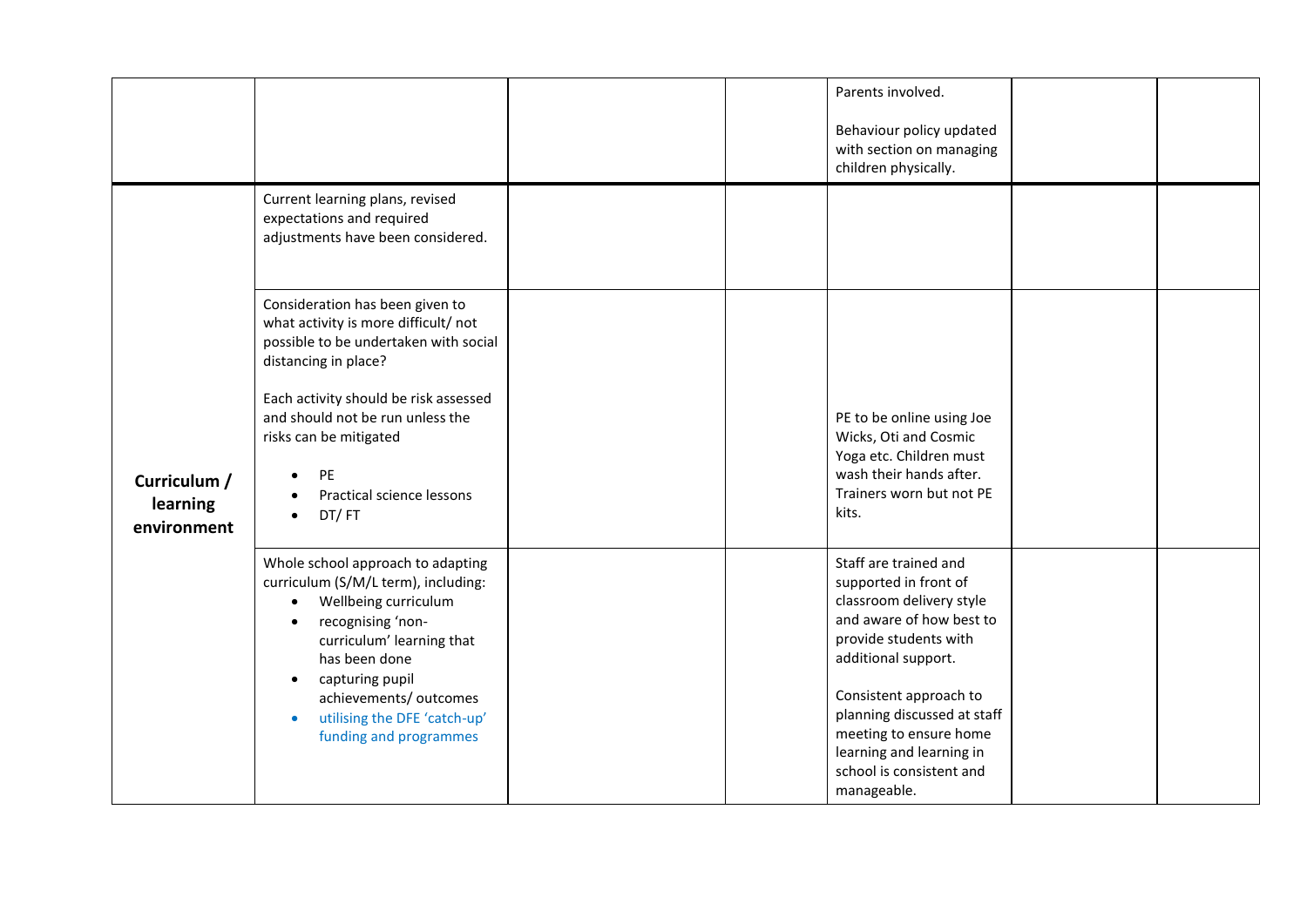<span id="page-19-0"></span>

|                                         |                                                                                                                                                                                                                                                                                                                                |  | Parents involved.<br>Behaviour policy updated<br>with section on managing<br>children physically.                                                                                                                                                                                                                |  |
|-----------------------------------------|--------------------------------------------------------------------------------------------------------------------------------------------------------------------------------------------------------------------------------------------------------------------------------------------------------------------------------|--|------------------------------------------------------------------------------------------------------------------------------------------------------------------------------------------------------------------------------------------------------------------------------------------------------------------|--|
|                                         | Current learning plans, revised<br>expectations and required<br>adjustments have been considered.                                                                                                                                                                                                                              |  |                                                                                                                                                                                                                                                                                                                  |  |
| Curriculum /<br>learning<br>environment | Consideration has been given to<br>what activity is more difficult/ not<br>possible to be undertaken with social<br>distancing in place?<br>Each activity should be risk assessed<br>and should not be run unless the<br>risks can be mitigated<br><b>PE</b><br>Practical science lessons<br>DT/FT                             |  | PE to be online using Joe<br>Wicks, Oti and Cosmic<br>Yoga etc. Children must<br>wash their hands after.<br>Trainers worn but not PE<br>kits.                                                                                                                                                                    |  |
|                                         | Whole school approach to adapting<br>curriculum (S/M/L term), including:<br>Wellbeing curriculum<br>$\bullet$<br>recognising 'non-<br>$\bullet$<br>curriculum' learning that<br>has been done<br>capturing pupil<br>$\bullet$<br>achievements/ outcomes<br>utilising the DFE 'catch-up'<br>$\bullet$<br>funding and programmes |  | Staff are trained and<br>supported in front of<br>classroom delivery style<br>and aware of how best to<br>provide students with<br>additional support.<br>Consistent approach to<br>planning discussed at staff<br>meeting to ensure home<br>learning and learning in<br>school is consistent and<br>manageable. |  |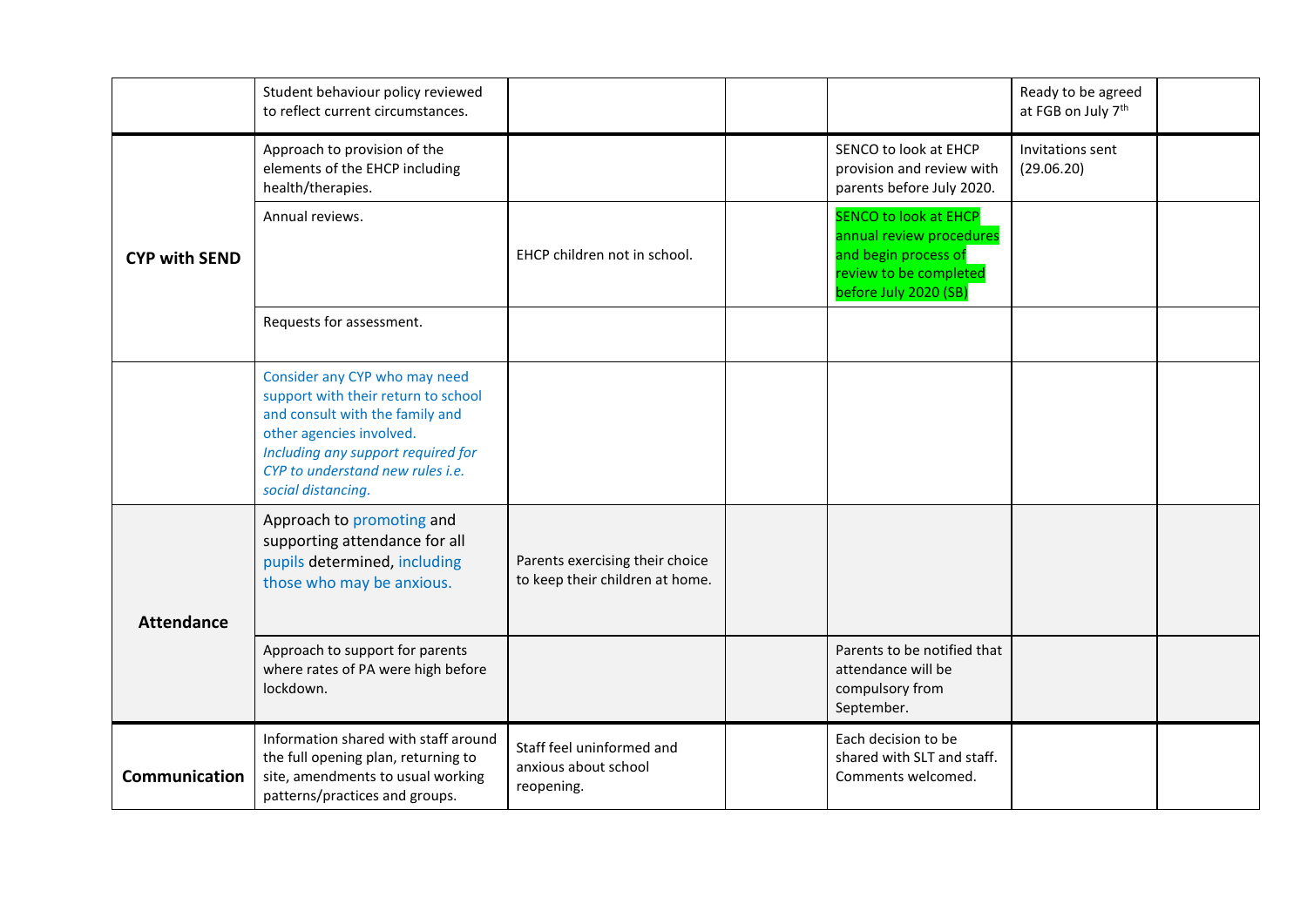<span id="page-20-2"></span><span id="page-20-1"></span><span id="page-20-0"></span>

|                      | Student behaviour policy reviewed<br>to reflect current circumstances.                                                                                                                                                              |                                                                    |                                                                                                                                     | Ready to be agreed<br>at FGB on July 7 <sup>th</sup> |  |
|----------------------|-------------------------------------------------------------------------------------------------------------------------------------------------------------------------------------------------------------------------------------|--------------------------------------------------------------------|-------------------------------------------------------------------------------------------------------------------------------------|------------------------------------------------------|--|
| <b>CYP with SEND</b> | Approach to provision of the<br>elements of the EHCP including<br>health/therapies.                                                                                                                                                 |                                                                    | SENCO to look at EHCP<br>provision and review with<br>parents before July 2020.                                                     | Invitations sent<br>(29.06.20)                       |  |
|                      | Annual reviews.                                                                                                                                                                                                                     | EHCP children not in school.                                       | <b>SENCO to look at EHCP</b><br>annual review procedures<br>and begin process of<br>review to be completed<br>before July 2020 (SB) |                                                      |  |
|                      | Requests for assessment.                                                                                                                                                                                                            |                                                                    |                                                                                                                                     |                                                      |  |
|                      | Consider any CYP who may need<br>support with their return to school<br>and consult with the family and<br>other agencies involved.<br>Including any support required for<br>CYP to understand new rules i.e.<br>social distancing. |                                                                    |                                                                                                                                     |                                                      |  |
| <b>Attendance</b>    | Approach to promoting and<br>supporting attendance for all<br>pupils determined, including<br>those who may be anxious.                                                                                                             | Parents exercising their choice<br>to keep their children at home. |                                                                                                                                     |                                                      |  |
|                      | Approach to support for parents<br>where rates of PA were high before<br>lockdown.                                                                                                                                                  |                                                                    | Parents to be notified that<br>attendance will be<br>compulsory from<br>September.                                                  |                                                      |  |
| <b>Communication</b> | Information shared with staff around<br>the full opening plan, returning to<br>site, amendments to usual working<br>patterns/practices and groups.                                                                                  | Staff feel uninformed and<br>anxious about school<br>reopening.    | Each decision to be<br>shared with SLT and staff.<br>Comments welcomed.                                                             |                                                      |  |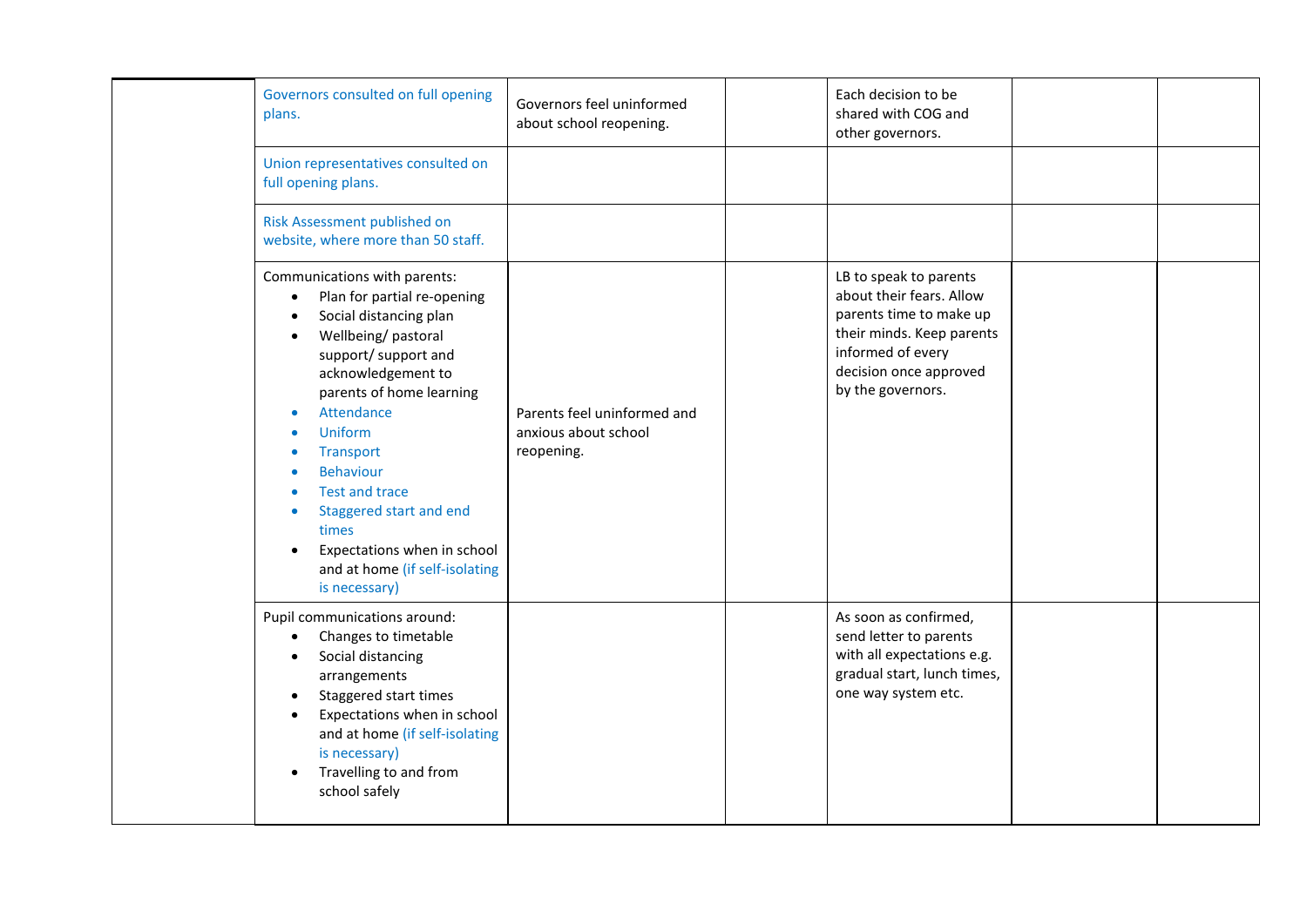| Governors consulted on full opening<br>plans.                                                                                                                                                                                                                                                                                                                                                                                         | Governors feel uninformed<br>about school reopening.              | Each decision to be<br>shared with COG and<br>other governors.                                                                                                                 |  |
|---------------------------------------------------------------------------------------------------------------------------------------------------------------------------------------------------------------------------------------------------------------------------------------------------------------------------------------------------------------------------------------------------------------------------------------|-------------------------------------------------------------------|--------------------------------------------------------------------------------------------------------------------------------------------------------------------------------|--|
| Union representatives consulted on<br>full opening plans.                                                                                                                                                                                                                                                                                                                                                                             |                                                                   |                                                                                                                                                                                |  |
| Risk Assessment published on<br>website, where more than 50 staff.                                                                                                                                                                                                                                                                                                                                                                    |                                                                   |                                                                                                                                                                                |  |
| Communications with parents:<br>Plan for partial re-opening<br>$\bullet$<br>Social distancing plan<br>$\bullet$<br>Wellbeing/pastoral<br>support/ support and<br>acknowledgement to<br>parents of home learning<br>Attendance<br>Uniform<br>Transport<br><b>Behaviour</b><br><b>Test and trace</b><br>Staggered start and end<br>$\bullet$<br>times<br>Expectations when in school<br>and at home (if self-isolating<br>is necessary) | Parents feel uninformed and<br>anxious about school<br>reopening. | LB to speak to parents<br>about their fears. Allow<br>parents time to make up<br>their minds. Keep parents<br>informed of every<br>decision once approved<br>by the governors. |  |
| Pupil communications around:<br>Changes to timetable<br>Social distancing<br>arrangements<br>Staggered start times<br>Expectations when in school<br>and at home (if self-isolating<br>is necessary)<br>Travelling to and from<br>school safely                                                                                                                                                                                       |                                                                   | As soon as confirmed,<br>send letter to parents<br>with all expectations e.g.<br>gradual start, lunch times,<br>one way system etc.                                            |  |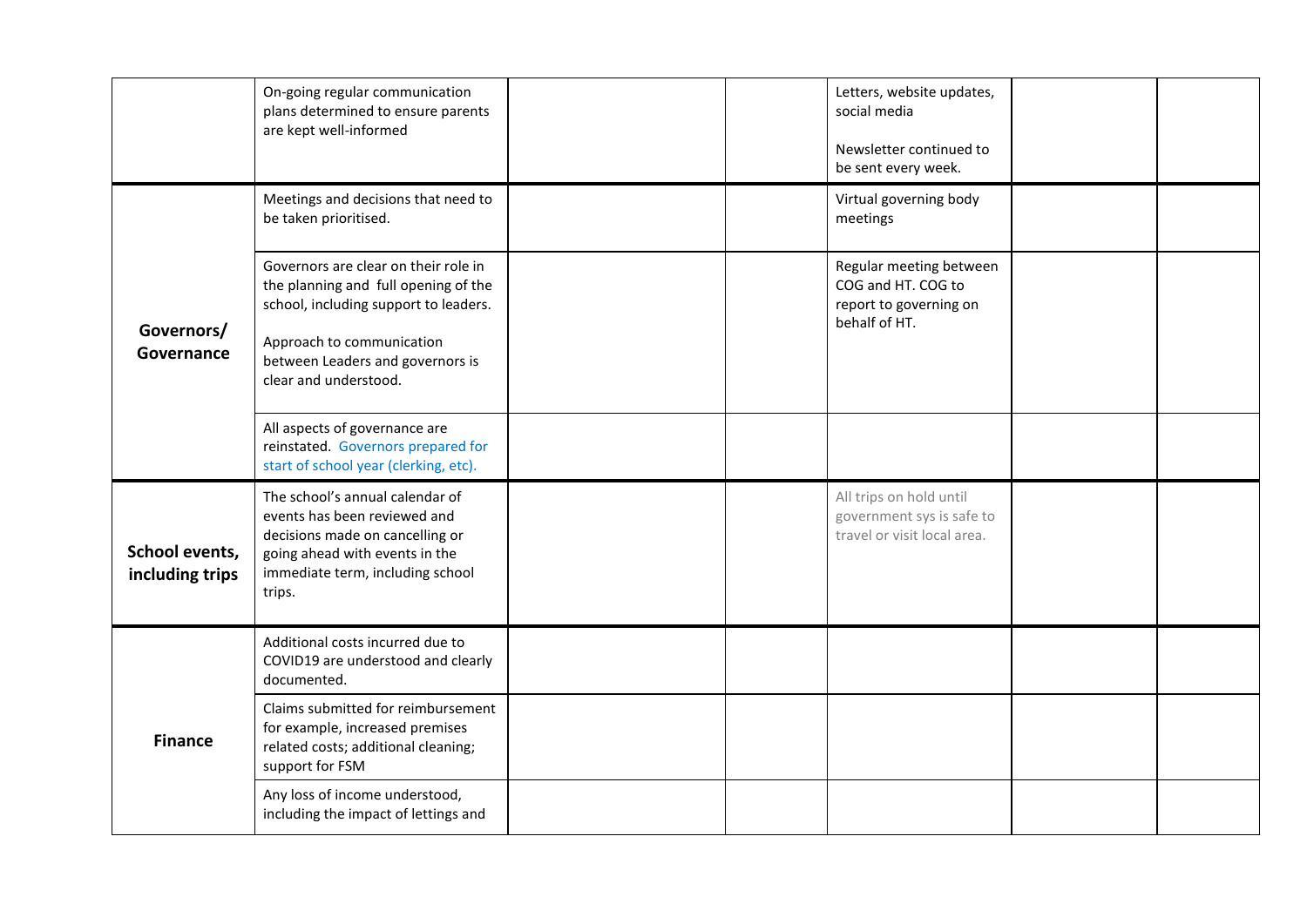<span id="page-22-2"></span><span id="page-22-1"></span><span id="page-22-0"></span>

|                                   | On-going regular communication<br>plans determined to ensure parents<br>are kept well-informed                                                                                                                  | Letters, website updates,<br>social media<br>Newsletter continued to<br>be sent every week. |  |
|-----------------------------------|-----------------------------------------------------------------------------------------------------------------------------------------------------------------------------------------------------------------|---------------------------------------------------------------------------------------------|--|
|                                   | Meetings and decisions that need to<br>be taken prioritised.                                                                                                                                                    | Virtual governing body<br>meetings                                                          |  |
| Governors/<br>Governance          | Governors are clear on their role in<br>the planning and full opening of the<br>school, including support to leaders.<br>Approach to communication<br>between Leaders and governors is<br>clear and understood. | Regular meeting between<br>COG and HT. COG to<br>report to governing on<br>behalf of HT.    |  |
|                                   | All aspects of governance are<br>reinstated. Governors prepared for<br>start of school year (clerking, etc).                                                                                                    |                                                                                             |  |
| School events,<br>including trips | The school's annual calendar of<br>events has been reviewed and<br>decisions made on cancelling or<br>going ahead with events in the<br>immediate term, including school<br>trips.                              | All trips on hold until<br>government sys is safe to<br>travel or visit local area.         |  |
|                                   | Additional costs incurred due to<br>COVID19 are understood and clearly<br>documented.                                                                                                                           |                                                                                             |  |
| <b>Finance</b>                    | Claims submitted for reimbursement<br>for example, increased premises<br>related costs; additional cleaning;<br>support for FSM                                                                                 |                                                                                             |  |
|                                   | Any loss of income understood,<br>including the impact of lettings and                                                                                                                                          |                                                                                             |  |